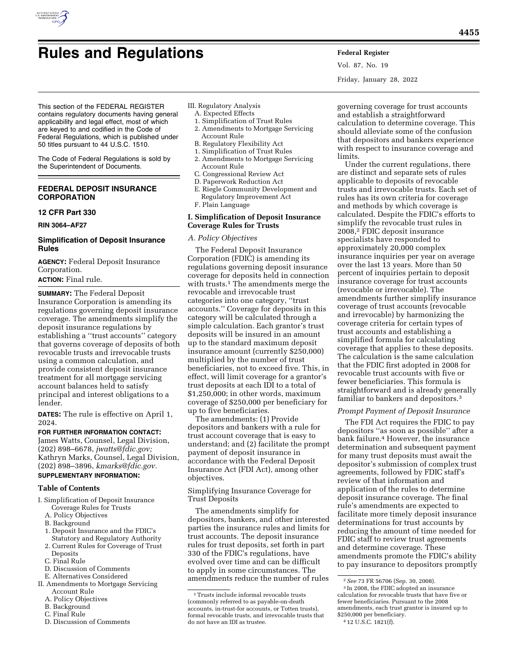# **Rules and Regulations Federal Register**

Vol. 87, No. 19 Friday, January 28, 2022

This section of the FEDERAL REGISTER contains regulatory documents having general applicability and legal effect, most of which are keyed to and codified in the Code of Federal Regulations, which is published under 50 titles pursuant to 44 U.S.C. 1510.

The Code of Federal Regulations is sold by the Superintendent of Documents.

## **FEDERAL DEPOSIT INSURANCE CORPORATION**

## **12 CFR Part 330**

**RIN 3064–AF27** 

# **Simplification of Deposit Insurance Rules**

**AGENCY:** Federal Deposit Insurance Corporation. **ACTION:** Final rule.

**SUMMARY:** The Federal Deposit Insurance Corporation is amending its regulations governing deposit insurance coverage. The amendments simplify the deposit insurance regulations by establishing a ''trust accounts'' category that governs coverage of deposits of both revocable trusts and irrevocable trusts using a common calculation, and provide consistent deposit insurance treatment for all mortgage servicing account balances held to satisfy principal and interest obligations to a lender.

**DATES:** The rule is effective on April 1, 2024.

**FOR FURTHER INFORMATION CONTACT:**  James Watts, Counsel, Legal Division, (202) 898–6678, *[jwatts@fdic.gov;](mailto:jwatts@fdic.gov)*  Kathryn Marks, Counsel, Legal Division, (202) 898–3896, *[kmarks@fdic.gov.](mailto:kmarks@fdic.gov)* 

# **SUPPLEMENTARY INFORMATION:**

# **Table of Contents**

- I. Simplification of Deposit Insurance Coverage Rules for Trusts
	- A. Policy Objectives
	- B. Background
	- 1. Deposit Insurance and the FDIC's Statutory and Regulatory Authority
	- 2. Current Rules for Coverage of Trust **Deposits**
	- C. Final Rule
	- D. Discussion of Comments
- E. Alternatives Considered
- II. Amendments to Mortgage Servicing Account Rule
	- A. Policy Objectives
	- B. Background
	- C. Final Rule
	- D. Discussion of Comments
- III. Regulatory Analysis
	- A. Expected Effects
	- 1. Simplification of Trust Rules
	- 2. Amendments to Mortgage Servicing Account Rule
	- B. Regulatory Flexibility Act
	- 1. Simplification of Trust Rules
	- 2. Amendments to Mortgage Servicing Account Rule
	- C. Congressional Review Act
	- D. Paperwork Reduction Act
	- E. Riegle Community Development and Regulatory Improvement Act F. Plain Language

## **I. Simplification of Deposit Insurance Coverage Rules for Trusts**

## *A. Policy Objectives*

The Federal Deposit Insurance Corporation (FDIC) is amending its regulations governing deposit insurance coverage for deposits held in connection with trusts.<sup>1</sup> The amendments merge the revocable and irrevocable trust categories into one category, ''trust accounts.'' Coverage for deposits in this category will be calculated through a simple calculation. Each grantor's trust deposits will be insured in an amount up to the standard maximum deposit insurance amount (currently \$250,000) multiplied by the number of trust beneficiaries, not to exceed five. This, in effect, will limit coverage for a grantor's trust deposits at each IDI to a total of \$1,250,000; in other words, maximum coverage of \$250,000 per beneficiary for up to five beneficiaries.

The amendments: (1) Provide depositors and bankers with a rule for trust account coverage that is easy to understand; and (2) facilitate the prompt payment of deposit insurance in accordance with the Federal Deposit Insurance Act (FDI Act), among other objectives.

Simplifying Insurance Coverage for Trust Deposits

The amendments simplify for depositors, bankers, and other interested parties the insurance rules and limits for trust accounts. The deposit insurance rules for trust deposits, set forth in part 330 of the FDIC's regulations, have evolved over time and can be difficult to apply in some circumstances. The amendments reduce the number of rules

governing coverage for trust accounts and establish a straightforward calculation to determine coverage. This should alleviate some of the confusion that depositors and bankers experience with respect to insurance coverage and limits.

Under the current regulations, there are distinct and separate sets of rules applicable to deposits of revocable trusts and irrevocable trusts. Each set of rules has its own criteria for coverage and methods by which coverage is calculated. Despite the FDIC's efforts to simplify the revocable trust rules in 2008,2 FDIC deposit insurance specialists have responded to approximately 20,000 complex insurance inquiries per year on average over the last 13 years. More than 50 percent of inquiries pertain to deposit insurance coverage for trust accounts (revocable or irrevocable). The amendments further simplify insurance coverage of trust accounts (revocable and irrevocable) by harmonizing the coverage criteria for certain types of trust accounts and establishing a simplified formula for calculating coverage that applies to these deposits. The calculation is the same calculation that the FDIC first adopted in 2008 for revocable trust accounts with five or fewer beneficiaries. This formula is straightforward and is already generally familiar to bankers and depositors.3

## *Prompt Payment of Deposit Insurance*

The FDI Act requires the FDIC to pay depositors ''as soon as possible'' after a bank failure.<sup>4</sup> However, the insurance determination and subsequent payment for many trust deposits must await the depositor's submission of complex trust agreements, followed by FDIC staff's review of that information and application of the rules to determine deposit insurance coverage. The final rule's amendments are expected to facilitate more timely deposit insurance determinations for trust accounts by reducing the amount of time needed for FDIC staff to review trust agreements and determine coverage. These amendments promote the FDIC's ability to pay insurance to depositors promptly

<sup>1</sup>Trusts include informal revocable trusts (commonly referred to as payable-on-death accounts, in-trust-for accounts, or Totten trusts), formal revocable trusts, and irrevocable trusts that do not have an IDI as trustee.

<sup>2</sup>*See* 73 FR 56706 (Sep. 30, 2008). 3 In 2008, the FDIC adopted an insurance

calculation for revocable trusts that have five or fewer beneficiaries. Pursuant to the 2008 amendments, each trust grantor is insured up to \$250,000 per beneficiary.  $412$  U.S.C. 1821(f).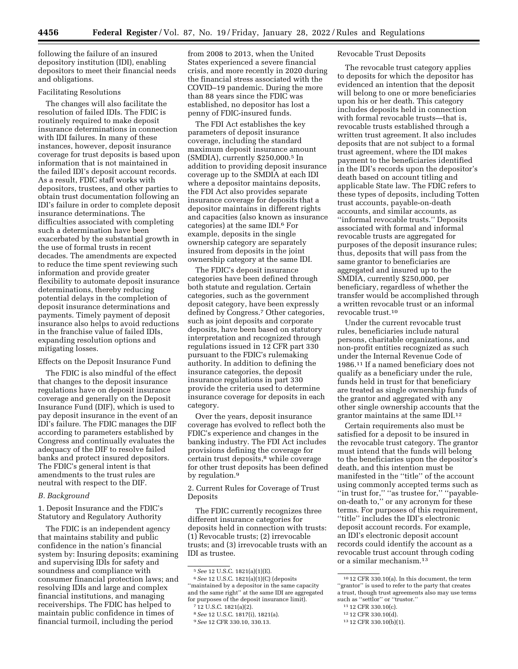following the failure of an insured depository institution (IDI), enabling depositors to meet their financial needs and obligations.

### Facilitating Resolutions

The changes will also facilitate the resolution of failed IDIs. The FDIC is routinely required to make deposit insurance determinations in connection with IDI failures. In many of these instances, however, deposit insurance coverage for trust deposits is based upon information that is not maintained in the failed IDI's deposit account records. As a result, FDIC staff works with depositors, trustees, and other parties to obtain trust documentation following an IDI's failure in order to complete deposit insurance determinations. The difficulties associated with completing such a determination have been exacerbated by the substantial growth in the use of formal trusts in recent decades. The amendments are expected to reduce the time spent reviewing such information and provide greater flexibility to automate deposit insurance determinations, thereby reducing potential delays in the completion of deposit insurance determinations and payments. Timely payment of deposit insurance also helps to avoid reductions in the franchise value of failed IDIs, expanding resolution options and mitigating losses.

Effects on the Deposit Insurance Fund

The FDIC is also mindful of the effect that changes to the deposit insurance regulations have on deposit insurance coverage and generally on the Deposit Insurance Fund (DIF), which is used to pay deposit insurance in the event of an IDI's failure. The FDIC manages the DIF according to parameters established by Congress and continually evaluates the adequacy of the DIF to resolve failed banks and protect insured depositors. The FDIC's general intent is that amendments to the trust rules are neutral with respect to the DIF.

## *B. Background*

1. Deposit Insurance and the FDIC's Statutory and Regulatory Authority

The FDIC is an independent agency that maintains stability and public confidence in the nation's financial system by: Insuring deposits; examining and supervising IDIs for safety and soundness and compliance with consumer financial protection laws; and resolving IDIs and large and complex financial institutions, and managing receiverships. The FDIC has helped to maintain public confidence in times of financial turmoil, including the period

from 2008 to 2013, when the United States experienced a severe financial crisis, and more recently in 2020 during the financial stress associated with the COVID–19 pandemic. During the more than 88 years since the FDIC was established, no depositor has lost a penny of FDIC-insured funds.

The FDI Act establishes the key parameters of deposit insurance coverage, including the standard maximum deposit insurance amount (SMDIA), currently \$250,000.5 In addition to providing deposit insurance coverage up to the SMDIA at each IDI where a depositor maintains deposits, the FDI Act also provides separate insurance coverage for deposits that a depositor maintains in different rights and capacities (also known as insurance categories) at the same IDI.6 For example, deposits in the single ownership category are separately insured from deposits in the joint ownership category at the same IDI.

The FDIC's deposit insurance categories have been defined through both statute and regulation. Certain categories, such as the government deposit category, have been expressly defined by Congress.7 Other categories, such as joint deposits and corporate deposits, have been based on statutory interpretation and recognized through regulations issued in 12 CFR part 330 pursuant to the FDIC's rulemaking authority. In addition to defining the insurance categories, the deposit insurance regulations in part 330 provide the criteria used to determine insurance coverage for deposits in each category.

Over the years, deposit insurance coverage has evolved to reflect both the FDIC's experience and changes in the banking industry. The FDI Act includes provisions defining the coverage for certain trust deposits,8 while coverage for other trust deposits has been defined by regulation.9

2. Current Rules for Coverage of Trust Deposits

The FDIC currently recognizes three different insurance categories for deposits held in connection with trusts: (1) Revocable trusts; (2) irrevocable trusts; and (3) irrevocable trusts with an IDI as trustee.

#### Revocable Trust Deposits

The revocable trust category applies to deposits for which the depositor has evidenced an intention that the deposit will belong to one or more beneficiaries upon his or her death. This category includes deposits held in connection with formal revocable trusts—that is, revocable trusts established through a written trust agreement. It also includes deposits that are not subject to a formal trust agreement, where the IDI makes payment to the beneficiaries identified in the IDI's records upon the depositor's death based on account titling and applicable State law. The FDIC refers to these types of deposits, including Totten trust accounts, payable-on-death accounts, and similar accounts, as ''informal revocable trusts.'' Deposits associated with formal and informal revocable trusts are aggregated for purposes of the deposit insurance rules; thus, deposits that will pass from the same grantor to beneficiaries are aggregated and insured up to the SMDIA, currently \$250,000, per beneficiary, regardless of whether the transfer would be accomplished through a written revocable trust or an informal revocable trust.10

Under the current revocable trust rules, beneficiaries include natural persons, charitable organizations, and non-profit entities recognized as such under the Internal Revenue Code of 1986.11 If a named beneficiary does not qualify as a beneficiary under the rule, funds held in trust for that beneficiary are treated as single ownership funds of the grantor and aggregated with any other single ownership accounts that the grantor maintains at the same IDI.12

Certain requirements also must be satisfied for a deposit to be insured in the revocable trust category. The grantor must intend that the funds will belong to the beneficiaries upon the depositor's death, and this intention must be manifested in the ''title'' of the account using commonly accepted terms such as ''in trust for,'' ''as trustee for,'' ''payableon-death to,'' or any acronym for these terms. For purposes of this requirement, ''title'' includes the IDI's electronic deposit account records. For example, an IDI's electronic deposit account records could identify the account as a revocable trust account through coding or a similar mechanism.13

11 12 CFR 330.10(c).

<sup>5</sup>*See* 12 U.S.C. 1821(a)(1)(E).

<sup>6</sup>*See* 12 U.S.C. 1821(a)(1)(C) (deposits ''maintained by a depositor in the same capacity and the same right'' at the same IDI are aggregated for purposes of the deposit insurance limit).

<sup>7</sup> 12 U.S.C. 1821(a)(2).

<sup>8</sup>*See* 12 U.S.C. 1817(i), 1821(a).

<sup>9</sup>*See* 12 CFR 330.10, 330.13.

<sup>10</sup> 12 CFR 330.10(a). In this document, the term "grantor" is used to refer to the party that creates a trust, though trust agreements also may use terms such as ''settlor'' or ''trustor.''

<sup>12</sup> 12 CFR 330.10(d).

<sup>13</sup> 12 CFR 330.10(b)(1).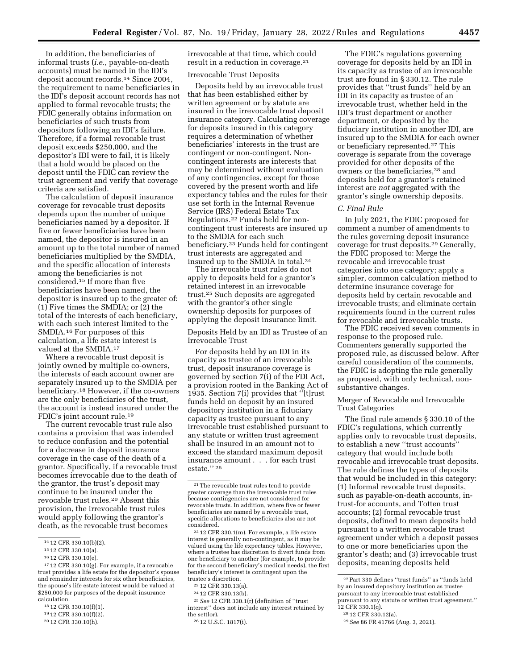In addition, the beneficiaries of informal trusts (*i.e.,* payable-on-death accounts) must be named in the IDI's deposit account records.14 Since 2004, the requirement to name beneficiaries in the IDI's deposit account records has not applied to formal revocable trusts; the FDIC generally obtains information on beneficiaries of such trusts from depositors following an IDI's failure. Therefore, if a formal revocable trust deposit exceeds \$250,000, and the depositor's IDI were to fail, it is likely that a hold would be placed on the deposit until the FDIC can review the trust agreement and verify that coverage criteria are satisfied.

The calculation of deposit insurance coverage for revocable trust deposits depends upon the number of unique beneficiaries named by a depositor. If five or fewer beneficiaries have been named, the depositor is insured in an amount up to the total number of named beneficiaries multiplied by the SMDIA, and the specific allocation of interests among the beneficiaries is not considered.15 If more than five beneficiaries have been named, the depositor is insured up to the greater of: (1) Five times the SMDIA; or (2) the total of the interests of each beneficiary, with each such interest limited to the SMDIA.16 For purposes of this calculation, a life estate interest is valued at the SMDIA.17

Where a revocable trust deposit is jointly owned by multiple co-owners, the interests of each account owner are separately insured up to the SMDIA per beneficiary.18 However, if the co-owners are the only beneficiaries of the trust, the account is instead insured under the FDIC's joint account rule.19

The current revocable trust rule also contains a provision that was intended to reduce confusion and the potential for a decrease in deposit insurance coverage in the case of the death of a grantor. Specifically, if a revocable trust becomes irrevocable due to the death of the grantor, the trust's deposit may continue to be insured under the revocable trust rules.20 Absent this provision, the irrevocable trust rules would apply following the grantor's death, as the revocable trust becomes

- 18 12 CFR 330.10(f)(1).
- 19 12 CFR 330.10(f)(2).
- 20 12 CFR 330.10(h).

irrevocable at that time, which could result in a reduction in coverage.21

#### Irrevocable Trust Deposits

Deposits held by an irrevocable trust that has been established either by written agreement or by statute are insured in the irrevocable trust deposit insurance category. Calculating coverage for deposits insured in this category requires a determination of whether beneficiaries' interests in the trust are contingent or non-contingent. Noncontingent interests are interests that may be determined without evaluation of any contingencies, except for those covered by the present worth and life expectancy tables and the rules for their use set forth in the Internal Revenue Service (IRS) Federal Estate Tax Regulations.22 Funds held for noncontingent trust interests are insured up to the SMDIA for each such beneficiary.23 Funds held for contingent trust interests are aggregated and insured up to the SMDIA in total.24

The irrevocable trust rules do not apply to deposits held for a grantor's retained interest in an irrevocable trust.25 Such deposits are aggregated with the grantor's other single ownership deposits for purposes of applying the deposit insurance limit.

Deposits Held by an IDI as Trustee of an Irrevocable Trust

For deposits held by an IDI in its capacity as trustee of an irrevocable trust, deposit insurance coverage is governed by section 7(i) of the FDI Act, a provision rooted in the Banking Act of 1935. Section 7(i) provides that ''[t]rust funds held on deposit by an insured depository institution in a fiduciary capacity as trustee pursuant to any irrevocable trust established pursuant to any statute or written trust agreement shall be insured in an amount not to exceed the standard maximum deposit insurance amount . . . for each trust estate.'' 26

25*See* 12 CFR 330.1(r) (definition of ''trust interest'' does not include any interest retained by the settlor).

26 12 U.S.C. 1817(i).

The FDIC's regulations governing coverage for deposits held by an IDI in its capacity as trustee of an irrevocable trust are found in § 330.12. The rule provides that ''trust funds'' held by an IDI in its capacity as trustee of an irrevocable trust, whether held in the IDI's trust department or another department, or deposited by the fiduciary institution in another IDI, are insured up to the SMDIA for each owner or beneficiary represented.27 This coverage is separate from the coverage provided for other deposits of the owners or the beneficiaries,<sup>28</sup> and deposits held for a grantor's retained interest are *not* aggregated with the grantor's single ownership deposits.

## *C. Final Rule*

In July 2021, the FDIC proposed for comment a number of amendments to the rules governing deposit insurance coverage for trust deposits.29 Generally, the FDIC proposed to: Merge the revocable and irrevocable trust categories into one category; apply a simpler, common calculation method to determine insurance coverage for deposits held by certain revocable and irrevocable trusts; and eliminate certain requirements found in the current rules for revocable and irrevocable trusts.

The FDIC received seven comments in response to the proposed rule. Commenters generally supported the proposed rule, as discussed below. After careful consideration of the comments, the FDIC is adopting the rule generally as proposed, with only technical, nonsubstantive changes.

Merger of Revocable and Irrevocable Trust Categories

The final rule amends § 330.10 of the FDIC's regulations, which currently applies only to revocable trust deposits, to establish a new ''trust accounts'' category that would include both revocable and irrevocable trust deposits. The rule defines the types of deposits that would be included in this category: (1) Informal revocable trust deposits, such as payable-on-death accounts, intrust-for accounts, and Totten trust accounts; (2) formal revocable trust deposits, defined to mean deposits held pursuant to a written revocable trust agreement under which a deposit passes to one or more beneficiaries upon the grantor's death; and (3) irrevocable trust deposits, meaning deposits held

<sup>14</sup> 12 CFR 330.10(b)(2).

<sup>15</sup> 12 CFR 330.10(a).

<sup>16</sup> 12 CFR 330.10(e).

<sup>17</sup> 12 CFR 330.10(g). For example, if a revocable trust provides a life estate for the depositor's spouse and remainder interests for six other beneficiaries, the spouse's life estate interest would be valued at \$250,000 for purposes of the deposit insurance calculation.

<sup>21</sup>The revocable trust rules tend to provide greater coverage than the irrevocable trust rules because contingencies are not considered for revocable trusts. In addition, where five or fewer beneficiaries are named by a revocable trust, specific allocations to beneficiaries also are not

 $^{22}$  12 CFR 330.1(m). For example, a life estate interest is generally non-contingent, as it may be valued using the life expectancy tables. However, where a trustee has discretion to divert funds from one beneficiary to another (for example, to provide for the second beneficiary's medical needs), the first beneficiary's interest is contingent upon the trustee's discretion.

<sup>23</sup> 12 CFR 330.13(a).

<sup>24</sup> 12 CFR 330.13(b).

<sup>27</sup>Part 330 defines ''trust funds'' as ''funds held by an insured depository institution as trustee pursuant to any irrevocable trust established pursuant to any statute or written trust agreement.''  $12$  CFR 330.1(q).

<sup>28</sup> 12 CFR 330.12(a).

<sup>29</sup>*See* 86 FR 41766 (Aug. 3, 2021).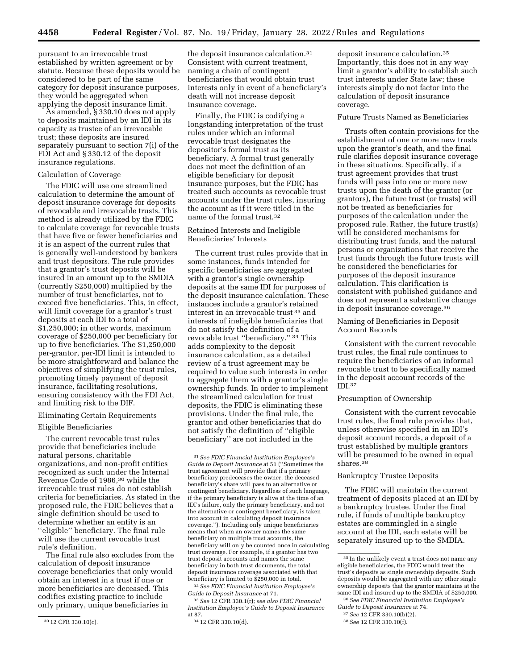pursuant to an irrevocable trust established by written agreement or by statute. Because these deposits would be considered to be part of the same category for deposit insurance purposes, they would be aggregated when applying the deposit insurance limit.

As amended, § 330.10 does not apply to deposits maintained by an IDI in its capacity as trustee of an irrevocable trust; these deposits are insured separately pursuant to section 7(i) of the FDI Act and § 330.12 of the deposit insurance regulations.

## Calculation of Coverage

The FDIC will use one streamlined calculation to determine the amount of deposit insurance coverage for deposits of revocable and irrevocable trusts. This method is already utilized by the FDIC to calculate coverage for revocable trusts that have five or fewer beneficiaries and it is an aspect of the current rules that is generally well-understood by bankers and trust depositors. The rule provides that a grantor's trust deposits will be insured in an amount up to the SMDIA (currently \$250,000) multiplied by the number of trust beneficiaries, not to exceed five beneficiaries. This, in effect, will limit coverage for a grantor's trust deposits at each IDI to a total of \$1,250,000; in other words, maximum coverage of \$250,000 per beneficiary for up to five beneficiaries. The \$1,250,000 per-grantor, per-IDI limit is intended to be more straightforward and balance the objectives of simplifying the trust rules, promoting timely payment of deposit insurance, facilitating resolutions, ensuring consistency with the FDI Act, and limiting risk to the DIF.

#### Eliminating Certain Requirements

#### Eligible Beneficiaries

The current revocable trust rules provide that beneficiaries include natural persons, charitable organizations, and non-profit entities recognized as such under the Internal Revenue Code of 1986,30 while the irrevocable trust rules do not establish criteria for beneficiaries. As stated in the proposed rule, the FDIC believes that a single definition should be used to determine whether an entity is an ''eligible'' beneficiary. The final rule will use the current revocable trust rule's definition.

The final rule also excludes from the calculation of deposit insurance coverage beneficiaries that only would obtain an interest in a trust if one or more beneficiaries are deceased. This codifies existing practice to include only primary, unique beneficiaries in

the deposit insurance calculation.31 Consistent with current treatment, naming a chain of contingent beneficiaries that would obtain trust interests only in event of a beneficiary's death will not increase deposit insurance coverage.

Finally, the FDIC is codifying a longstanding interpretation of the trust rules under which an informal revocable trust designates the depositor's formal trust as its beneficiary. A formal trust generally does not meet the definition of an eligible beneficiary for deposit insurance purposes, but the FDIC has treated such accounts as revocable trust accounts under the trust rules, insuring the account as if it were titled in the name of the formal trust.32

## Retained Interests and Ineligible Beneficiaries' Interests

The current trust rules provide that in some instances, funds intended for specific beneficiaries are aggregated with a grantor's single ownership deposits at the same IDI for purposes of the deposit insurance calculation. These instances include a grantor's retained interest in an irrevocable trust 33 and interests of ineligible beneficiaries that do not satisfy the definition of a revocable trust ''beneficiary.'' 34 This adds complexity to the deposit insurance calculation, as a detailed review of a trust agreement may be required to value such interests in order to aggregate them with a grantor's single ownership funds. In order to implement the streamlined calculation for trust deposits, the FDIC is eliminating these provisions. Under the final rule, the grantor and other beneficiaries that do not satisfy the definition of ''eligible beneficiary'' are not included in the

31*See FDIC Financial Institution Employee's Guide to Deposit Insurance* at 51 (''Sometimes the trust agreement will provide that if a primary beneficiary predeceases the owner, the deceased beneficiary's share will pass to an alternative or contingent beneficiary. Regardless of such language, if the primary beneficiary is alive at the time of an IDI's failure, only the primary beneficiary, and not the alternative or contingent beneficiary, is taken into account in calculating deposit insurance coverage.''). Including only unique beneficiaries means that when an owner names the same beneficiary on multiple trust accounts, the beneficiary will only be counted once in calculating trust coverage. For example, if a grantor has two trust deposit accounts and names the same beneficiary in both trust documents, the total deposit insurance coverage associated with that beneficiary is limited to \$250,000 in total.

32*See FDIC Financial Institution Employee's Guide to Deposit Insurance* at 71.

33*See* 12 CFR 330.1(r); *see also FDIC Financial Institution Employee's Guide to Deposit Insurance*  at 87.

34 12 CFR 330.10(d).

deposit insurance calculation.35 Importantly, this does not in any way limit a grantor's ability to establish such trust interests under State law; these interests simply do not factor into the calculation of deposit insurance coverage.

#### Future Trusts Named as Beneficiaries

Trusts often contain provisions for the establishment of one or more new trusts upon the grantor's death, and the final rule clarifies deposit insurance coverage in these situations. Specifically, if a trust agreement provides that trust funds will pass into one or more new trusts upon the death of the grantor (or grantors), the future trust (or trusts) will not be treated as beneficiaries for purposes of the calculation under the proposed rule. Rather, the future trust(s) will be considered mechanisms for distributing trust funds, and the natural persons or organizations that receive the trust funds through the future trusts will be considered the beneficiaries for purposes of the deposit insurance calculation. This clarification is consistent with published guidance and does not represent a substantive change in deposit insurance coverage.36

Naming of Beneficiaries in Deposit Account Records

Consistent with the current revocable trust rules, the final rule continues to require the beneficiaries of an informal revocable trust to be specifically named in the deposit account records of the IDI.37

## Presumption of Ownership

Consistent with the current revocable trust rules, the final rule provides that, unless otherwise specified in an IDI's deposit account records, a deposit of a trust established by multiple grantors will be presumed to be owned in equal shares<sup>38</sup>

## Bankruptcy Trustee Deposits

The FDIC will maintain the current treatment of deposits placed at an IDI by a bankruptcy trustee. Under the final rule, if funds of multiple bankruptcy estates are commingled in a single account at the IDI, each estate will be separately insured up to the SMDIA.

<sup>30</sup> 12 CFR 330.10(c).

<sup>35</sup> In the unlikely event a trust does not name any eligible beneficiaries, the FDIC would treat the trust's deposits as single ownership deposits. Such deposits would be aggregated with any other single ownership deposits that the grantor maintains at the same IDI and insured up to the SMDIA of \$250,000. 36*See FDIC Financial Institution Employee's* 

*Guide to Deposit Insurance* at 74.

<sup>37</sup>*See* 12 CFR 330.10(b)(2).

<sup>38</sup>*See* 12 CFR 330.10(f).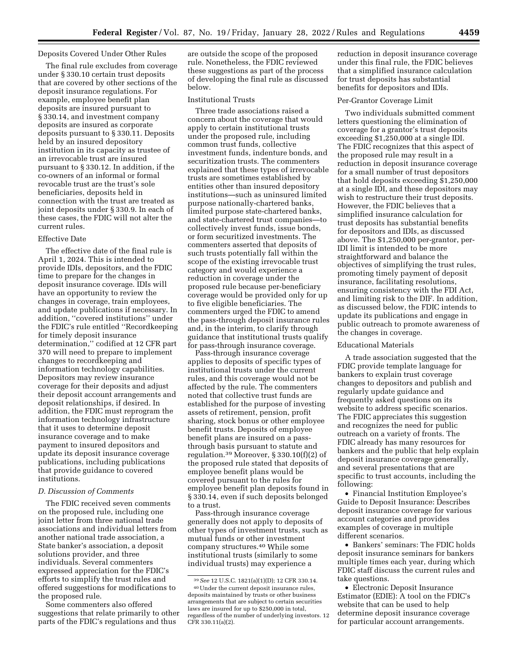# Deposits Covered Under Other Rules

The final rule excludes from coverage under § 330.10 certain trust deposits that are covered by other sections of the deposit insurance regulations. For example, employee benefit plan deposits are insured pursuant to § 330.14, and investment company deposits are insured as corporate deposits pursuant to § 330.11. Deposits held by an insured depository institution in its capacity as trustee of an irrevocable trust are insured pursuant to § 330.12. In addition, if the co-owners of an informal or formal revocable trust are the trust's sole beneficiaries, deposits held in connection with the trust are treated as joint deposits under § 330.9. In each of these cases, the FDIC will not alter the current rules.

## Effective Date

The effective date of the final rule is April 1, 2024. This is intended to provide IDIs, depositors, and the FDIC time to prepare for the changes in deposit insurance coverage. IDIs will have an opportunity to review the changes in coverage, train employees, and update publications if necessary. In addition, ''covered institutions'' under the FDIC's rule entitled ''Recordkeeping for timely deposit insurance determination,'' codified at 12 CFR part 370 will need to prepare to implement changes to recordkeeping and information technology capabilities. Depositors may review insurance coverage for their deposits and adjust their deposit account arrangements and deposit relationships, if desired. In addition, the FDIC must reprogram the information technology infrastructure that it uses to determine deposit insurance coverage and to make payment to insured depositors and update its deposit insurance coverage publications, including publications that provide guidance to covered institutions.

## *D. Discussion of Comments*

The FDIC received seven comments on the proposed rule, including one joint letter from three national trade associations and individual letters from another national trade association, a State banker's association, a deposit solutions provider, and three individuals. Several commenters expressed appreciation for the FDIC's efforts to simplify the trust rules and offered suggestions for modifications to the proposed rule.

Some commenters also offered suggestions that relate primarily to other parts of the FDIC's regulations and thus

are outside the scope of the proposed rule. Nonetheless, the FDIC reviewed these suggestions as part of the process of developing the final rule as discussed below.

## Institutional Trusts

Three trade associations raised a concern about the coverage that would apply to certain institutional trusts under the proposed rule, including common trust funds, collective investment funds, indenture bonds, and securitization trusts. The commenters explained that these types of irrevocable trusts are sometimes established by entities other than insured depository institutions—such as uninsured limited purpose nationally-chartered banks, limited purpose state-chartered banks, and state-chartered trust companies—to collectively invest funds, issue bonds, or form securitized investments. The commenters asserted that deposits of such trusts potentially fall within the scope of the existing irrevocable trust category and would experience a reduction in coverage under the proposed rule because per-beneficiary coverage would be provided only for up to five eligible beneficiaries. The commenters urged the FDIC to amend the pass-through deposit insurance rules and, in the interim, to clarify through guidance that institutional trusts qualify for pass-through insurance coverage.

Pass-through insurance coverage applies to deposits of specific types of institutional trusts under the current rules, and this coverage would not be affected by the rule. The commenters noted that collective trust funds are established for the purpose of investing assets of retirement, pension, profit sharing, stock bonus or other employee benefit trusts. Deposits of employee benefit plans are insured on a passthrough basis pursuant to statute and regulation.39 Moreover, § 330.10(f)(2) of the proposed rule stated that deposits of employee benefit plans would be covered pursuant to the rules for employee benefit plan deposits found in § 330.14, even if such deposits belonged to a trust.

Pass-through insurance coverage generally does not apply to deposits of other types of investment trusts, such as mutual funds or other investment company structures.40 While some institutional trusts (similarly to some individual trusts) may experience a

reduction in deposit insurance coverage under this final rule, the FDIC believes that a simplified insurance calculation for trust deposits has substantial benefits for depositors and IDIs.

## Per-Grantor Coverage Limit

Two individuals submitted comment letters questioning the elimination of coverage for a grantor's trust deposits exceeding \$1,250,000 at a single IDI. The FDIC recognizes that this aspect of the proposed rule may result in a reduction in deposit insurance coverage for a small number of trust depositors that hold deposits exceeding \$1,250,000 at a single IDI, and these depositors may wish to restructure their trust deposits. However, the FDIC believes that a simplified insurance calculation for trust deposits has substantial benefits for depositors and IDIs, as discussed above. The \$1,250,000 per-grantor, per-IDI limit is intended to be more straightforward and balance the objectives of simplifying the trust rules, promoting timely payment of deposit insurance, facilitating resolutions, ensuring consistency with the FDI Act, and limiting risk to the DIF. In addition, as discussed below, the FDIC intends to update its publications and engage in public outreach to promote awareness of the changes in coverage.

## Educational Materials

A trade association suggested that the FDIC provide template language for bankers to explain trust coverage changes to depositors and publish and regularly update guidance and frequently asked questions on its website to address specific scenarios. The FDIC appreciates this suggestion and recognizes the need for public outreach on a variety of fronts. The FDIC already has many resources for bankers and the public that help explain deposit insurance coverage generally, and several presentations that are specific to trust accounts, including the following:

• Financial Institution Employee's Guide to Deposit Insurance: Describes deposit insurance coverage for various account categories and provides examples of coverage in multiple different scenarios.

• Bankers' seminars: The FDIC holds deposit insurance seminars for bankers multiple times each year, during which FDIC staff discuss the current rules and take questions.

• Electronic Deposit Insurance Estimator (EDIE): A tool on the FDIC's website that can be used to help determine deposit insurance coverage for particular account arrangements.

<sup>39</sup>*See* 12 U.S.C. 1821(a)(1)(D); 12 CFR 330.14.

<sup>40</sup>Under the current deposit insurance rules, deposits maintained by trusts or other business arrangements that are subject to certain securities laws are insured for up to \$250,000 in total, regardless of the number of underlying investors. 12 CFR 330.11(a)(2).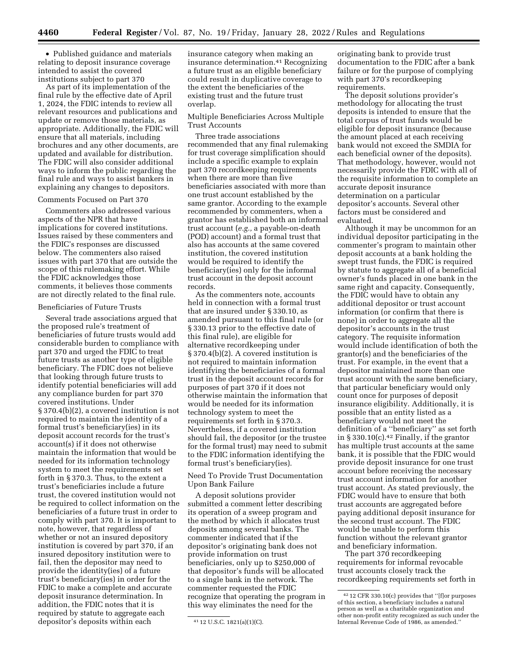• Published guidance and materials relating to deposit insurance coverage intended to assist the covered institutions subject to part 370

As part of its implementation of the final rule by the effective date of April 1, 2024, the FDIC intends to review all relevant resources and publications and update or remove those materials, as appropriate. Additionally, the FDIC will ensure that all materials, including brochures and any other documents, are updated and available for distribution. The FDIC will also consider additional ways to inform the public regarding the final rule and ways to assist bankers in explaining any changes to depositors.

#### Comments Focused on Part 370

Commenters also addressed various aspects of the NPR that have implications for covered institutions. Issues raised by these commenters and the FDIC's responses are discussed below. The commenters also raised issues with part 370 that are outside the scope of this rulemaking effort. While the FDIC acknowledges those comments, it believes those comments are not directly related to the final rule.

## Beneficiaries of Future Trusts

Several trade associations argued that the proposed rule's treatment of beneficiaries of future trusts would add considerable burden to compliance with part 370 and urged the FDIC to treat future trusts as another type of eligible beneficiary. The FDIC does not believe that looking through future trusts to identify potential beneficiaries will add any compliance burden for part 370 covered institutions. Under § 370.4(b)(2), a covered institution is not required to maintain the identity of a formal trust's beneficiary(ies) in its deposit account records for the trust's account(s) if it does not otherwise maintain the information that would be needed for its information technology system to meet the requirements set forth in § 370.3. Thus, to the extent a trust's beneficiaries include a future trust, the covered institution would not be required to collect information on the beneficiaries of a future trust in order to comply with part 370. It is important to note, however, that regardless of whether or not an insured depository institution is covered by part 370, if an insured depository institution were to fail, then the depositor may need to provide the identity(ies) of a future trust's beneficiary(ies) in order for the FDIC to make a complete and accurate deposit insurance determination. In addition, the FDIC notes that it is required by statute to aggregate each depositor's deposits within each

insurance category when making an insurance determination.41 Recognizing a future trust as an eligible beneficiary could result in duplicative coverage to the extent the beneficiaries of the existing trust and the future trust overlap.

## Multiple Beneficiaries Across Multiple Trust Accounts

Three trade associations recommended that any final rulemaking for trust coverage simplification should include a specific example to explain part 370 recordkeeping requirements when there are more than five beneficiaries associated with more than one trust account established by the same grantor. According to the example recommended by commenters, when a grantor has established both an informal trust account (*e.g.,* a payable-on-death (POD) account) and a formal trust that also has accounts at the same covered institution, the covered institution would be required to identify the beneficiary(ies) only for the informal trust account in the deposit account records.

As the commenters note, accounts held in connection with a formal trust that are insured under § 330.10, as amended pursuant to this final rule (or § 330.13 prior to the effective date of this final rule), are eligible for alternative recordkeeping under § 370.4(b)(2). A covered institution is not required to maintain information identifying the beneficiaries of a formal trust in the deposit account records for purposes of part 370 if it does not otherwise maintain the information that would be needed for its information technology system to meet the requirements set forth in § 370.3. Nevertheless, if a covered institution should fail, the depositor (or the trustee for the formal trust) may need to submit to the FDIC information identifying the formal trust's beneficiary(ies).

Need To Provide Trust Documentation Upon Bank Failure

A deposit solutions provider submitted a comment letter describing its operation of a sweep program and the method by which it allocates trust deposits among several banks. The commenter indicated that if the depositor's originating bank does not provide information on trust beneficiaries, only up to \$250,000 of that depositor's funds will be allocated to a single bank in the network. The commenter requested the FDIC recognize that operating the program in this way eliminates the need for the

originating bank to provide trust documentation to the FDIC after a bank failure or for the purpose of complying with part 370's recordkeeping requirements.

The deposit solutions provider's methodology for allocating the trust deposits is intended to ensure that the total corpus of trust funds would be eligible for deposit insurance (because the amount placed at each receiving bank would not exceed the SMDIA for each beneficial owner of the deposits). That methodology, however, would not necessarily provide the FDIC with all of the requisite information to complete an accurate deposit insurance determination on a particular depositor's accounts. Several other factors must be considered and evaluated.

Although it may be uncommon for an individual depositor participating in the commenter's program to maintain other deposit accounts at a bank holding the swept trust funds, the FDIC is required by statute to aggregate all of a beneficial owner's funds placed in one bank in the same right and capacity. Consequently, the FDIC would have to obtain any additional depositor or trust account information (or confirm that there is none) in order to aggregate all the depositor's accounts in the trust category. The requisite information would include identification of both the grantor(s) and the beneficiaries of the trust. For example, in the event that a depositor maintained more than one trust account with the same beneficiary, that particular beneficiary would only count once for purposes of deposit insurance eligibility. Additionally, it is possible that an entity listed as a beneficiary would not meet the definition of a ''beneficiary'' as set forth in § 330.10(c).<sup>42</sup> Finally, if the grantor has multiple trust accounts at the same bank, it is possible that the FDIC would provide deposit insurance for one trust account before receiving the necessary trust account information for another trust account. As stated previously, the FDIC would have to ensure that both trust accounts are aggregated before paying additional deposit insurance for the second trust account. The FDIC would be unable to perform this function without the relevant grantor and beneficiary information.

The part 370 recordkeeping requirements for informal revocable trust accounts closely track the recordkeeping requirements set forth in

<sup>41</sup> 12 U.S.C. 1821(a)(1)(C).

<sup>42</sup> 12 CFR 330.10(c) provides that ''[f]or purposes of this section, a beneficiary includes a natural person as well as a charitable organization and other non-profit entity recognized as such under the Internal Revenue Code of 1986, as amended.''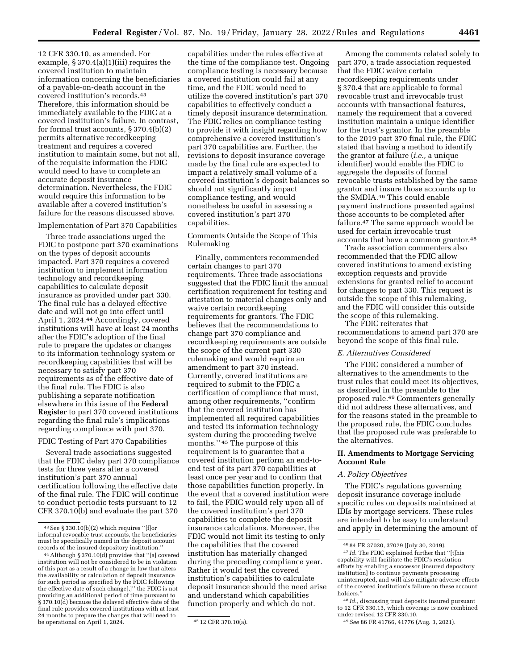12 CFR 330.10, as amended. For example, § 370.4(a)(1)(iii) requires the covered institution to maintain information concerning the beneficiaries of a payable-on-death account in the covered institution's records.43 Therefore, this information should be immediately available to the FDIC at a covered institution's failure. In contrast, for formal trust accounts, § 370.4(b)(2) permits alternative recordkeeping treatment and requires a covered institution to maintain some, but not all, of the requisite information the FDIC would need to have to complete an accurate deposit insurance determination. Nevertheless, the FDIC would require this information to be available after a covered institution's failure for the reasons discussed above.

#### Implementation of Part 370 Capabilities

Three trade associations urged the FDIC to postpone part 370 examinations on the types of deposit accounts impacted. Part 370 requires a covered institution to implement information technology and recordkeeping capabilities to calculate deposit insurance as provided under part 330. The final rule has a delayed effective date and will not go into effect until April 1, 2024.44 Accordingly, covered institutions will have at least 24 months after the FDIC's adoption of the final rule to prepare the updates or changes to its information technology system or recordkeeping capabilities that will be necessary to satisfy part 370 requirements as of the effective date of the final rule. The FDIC is also publishing a separate notification elsewhere in this issue of the **Federal Register** to part 370 covered institutions regarding the final rule's implications regarding compliance with part 370.

#### FDIC Testing of Part 370 Capabilities

Several trade associations suggested that the FDIC delay part 370 compliance tests for three years after a covered institution's part 370 annual certification following the effective date of the final rule. The FDIC will continue to conduct periodic tests pursuant to 12 CFR 370.10(b) and evaluate the part 370

capabilities under the rules effective at the time of the compliance test. Ongoing compliance testing is necessary because a covered institution could fail at any time, and the FDIC would need to utilize the covered institution's part 370 capabilities to effectively conduct a timely deposit insurance determination. The FDIC relies on compliance testing to provide it with insight regarding how comprehensive a covered institution's part 370 capabilities are. Further, the revisions to deposit insurance coverage made by the final rule are expected to impact a relatively small volume of a covered institution's deposit balances so should not significantly impact compliance testing, and would nonetheless be useful in assessing a covered institution's part 370 capabilities.

Comments Outside the Scope of This Rulemaking

Finally, commenters recommended certain changes to part 370 requirements. Three trade associations suggested that the FDIC limit the annual certification requirement for testing and attestation to material changes only and waive certain recordkeeping requirements for grantors. The FDIC believes that the recommendations to change part 370 compliance and recordkeeping requirements are outside the scope of the current part 330 rulemaking and would require an amendment to part 370 instead. Currently, covered institutions are required to submit to the FDIC a certification of compliance that must, among other requirements, ''confirm that the covered institution has implemented all required capabilities and tested its information technology system during the proceeding twelve months.'' 45 The purpose of this requirement is to guarantee that a covered institution perform an end-toend test of its part 370 capabilities at least once per year and to confirm that those capabilities function properly. In the event that a covered institution were to fail, the FDIC would rely upon all of the covered institution's part 370 capabilities to complete the deposit insurance calculations. Moreover, the FDIC would not limit its testing to only the capabilities that the covered institution has materially changed during the preceding compliance year. Rather it would test the covered institution's capabilities to calculate deposit insurance should the need arise and understand which capabilities function properly and which do not.

Among the comments related solely to part 370, a trade association requested that the FDIC waive certain recordkeeping requirements under § 370.4 that are applicable to formal revocable trust and irrevocable trust accounts with transactional features, namely the requirement that a covered institution maintain a unique identifier for the trust's grantor. In the preamble to the 2019 part 370 final rule, the FDIC stated that having a method to identify the grantor at failure (*i.e.,* a unique identifier) would enable the FDIC to aggregate the deposits of formal revocable trusts established by the same grantor and insure those accounts up to the SMDIA.46 This could enable payment instructions presented against those accounts to be completed after failure.47 The same approach would be used for certain irrevocable trust accounts that have a common grantor.48

Trade association commenters also recommended that the FDIC allow covered institutions to amend existing exception requests and provide extensions for granted relief to account for changes to part 330. This request is outside the scope of this rulemaking, and the FDIC will consider this outside the scope of this rulemaking.

The FDIC reiterates that recommendations to amend part 370 are beyond the scope of this final rule.

#### *E. Alternatives Considered*

The FDIC considered a number of alternatives to the amendments to the trust rules that could meet its objectives, as described in the preamble to the proposed rule.49 Commenters generally did not address these alternatives, and for the reasons stated in the preamble to the proposed rule, the FDIC concludes that the proposed rule was preferable to the alternatives.

## **II. Amendments to Mortgage Servicing Account Rule**

## *A. Policy Objectives*

The FDIC's regulations governing deposit insurance coverage include specific rules on deposits maintained at IDIs by mortgage servicers. These rules are intended to be easy to understand and apply in determining the amount of

<sup>43</sup>See § 330.10(b)(2) which requires ''[f]or informal revocable trust accounts, the beneficiaries must be specifically named in the deposit account records of the insured depository institution.''

<sup>44</sup>Although § 370.10(d) provides that ''[a] covered institution will not be considered to be in violation of this part as a result of a change in law that alters the availability or calculation of deposit insurance for such period as specified by the FDIC following the effective date of such change[,]'' the FDIC is not providing an additional period of time pursuant to § 370.10(d) because the delayed effective date of the final rule provides covered institutions with at least 24 months to prepare the changes that will need to be operational on April 1, 2024.  $\frac{45}{12}$  CFR 370.10(a).

<sup>46</sup> 84 FR 37020, 37029 (July 30, 2019).

<sup>&</sup>lt;sup>47</sup> *Id.* The FDIC explained further that "[t]his capability will facilitate the FDIC's resolution efforts by enabling a successor [insured depository institution] to continue payments processing uninterrupted, and will also mitigate adverse effects of the covered institution's failure on these account holders.''

<sup>48</sup> *Id.,* discussing trust deposits insured pursuant to 12 CFR 330.13, which coverage is now combined under revised 12 CFR 330.10.

<sup>49</sup>*See* 86 FR 41766, 41776 (Aug. 3, 2021).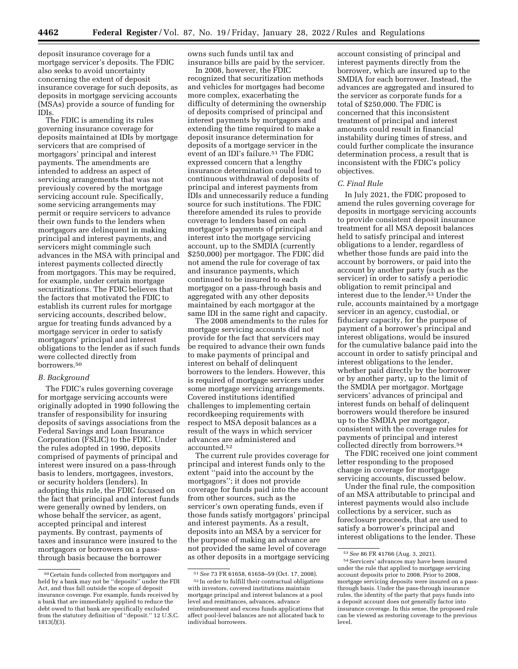deposit insurance coverage for a mortgage servicer's deposits. The FDIC also seeks to avoid uncertainty concerning the extent of deposit insurance coverage for such deposits, as deposits in mortgage servicing accounts (MSAs) provide a source of funding for IDIs.

The FDIC is amending its rules governing insurance coverage for deposits maintained at IDIs by mortgage servicers that are comprised of mortgagors' principal and interest payments. The amendments are intended to address an aspect of servicing arrangements that was not previously covered by the mortgage servicing account rule. Specifically, some servicing arrangements may permit or require servicers to advance their own funds to the lenders when mortgagors are delinquent in making principal and interest payments, and servicers might commingle such advances in the MSA with principal and interest payments collected directly from mortgagors. This may be required, for example, under certain mortgage securitizations. The FDIC believes that the factors that motivated the FDIC to establish its current rules for mortgage servicing accounts, described below, argue for treating funds advanced by a mortgage servicer in order to satisfy mortgagors' principal and interest obligations to the lender as if such funds were collected directly from borrowers.50

## *B. Background*

The FDIC's rules governing coverage for mortgage servicing accounts were originally adopted in 1990 following the transfer of responsibility for insuring deposits of savings associations from the Federal Savings and Loan Insurance Corporation (FSLIC) to the FDIC. Under the rules adopted in 1990, deposits comprised of payments of principal and interest were insured on a pass-through basis to lenders, mortgagees, investors, or security holders (lenders). In adopting this rule, the FDIC focused on the fact that principal and interest funds were generally owned by lenders, on whose behalf the servicer, as agent, accepted principal and interest payments. By contrast, payments of taxes and insurance were insured to the mortgagors or borrowers on a passthrough basis because the borrower

owns such funds until tax and insurance bills are paid by the servicer.

In 2008, however, the FDIC recognized that securitization methods and vehicles for mortgages had become more complex, exacerbating the difficulty of determining the ownership of deposits comprised of principal and interest payments by mortgagors and extending the time required to make a deposit insurance determination for deposits of a mortgage servicer in the event of an IDI's failure.<sup>51</sup> The FDIC expressed concern that a lengthy insurance determination could lead to continuous withdrawal of deposits of principal and interest payments from IDIs and unnecessarily reduce a funding source for such institutions. The FDIC therefore amended its rules to provide coverage to lenders based on each mortgagor's payments of principal and interest into the mortgage servicing account, up to the SMDIA (currently \$250,000) per mortgagor. The FDIC did not amend the rule for coverage of tax and insurance payments, which continued to be insured to each mortgagor on a pass-through basis and aggregated with any other deposits maintained by each mortgagor at the same IDI in the same right and capacity.

The 2008 amendments to the rules for mortgage servicing accounts did not provide for the fact that servicers may be required to advance their own funds to make payments of principal and interest on behalf of delinquent borrowers to the lenders. However, this is required of mortgage servicers under some mortgage servicing arrangements. Covered institutions identified challenges to implementing certain recordkeeping requirements with respect to MSA deposit balances as a result of the ways in which servicer advances are administered and accounted.52

The current rule provides coverage for principal and interest funds only to the extent ''paid into the account by the mortgagors''; it does not provide coverage for funds paid into the account from other sources, such as the servicer's own operating funds, even if those funds satisfy mortgagors' principal and interest payments. As a result, deposits into an MSA by a servicer for the purpose of making an advance are not provided the same level of coverage as other deposits in a mortgage servicing

account consisting of principal and interest payments directly from the borrower, which are insured up to the SMDIA for each borrower. Instead, the advances are aggregated and insured to the servicer as corporate funds for a total of \$250,000. The FDIC is concerned that this inconsistent treatment of principal and interest amounts could result in financial instability during times of stress, and could further complicate the insurance determination process, a result that is inconsistent with the FDIC's policy objectives.

#### *C. Final Rule*

In July 2021, the FDIC proposed to amend the rules governing coverage for deposits in mortgage servicing accounts to provide consistent deposit insurance treatment for all MSA deposit balances held to satisfy principal and interest obligations to a lender, regardless of whether those funds are paid into the account by borrowers, or paid into the account by another party (such as the servicer) in order to satisfy a periodic obligation to remit principal and interest due to the lender.53 Under the rule, accounts maintained by a mortgage servicer in an agency, custodial, or fiduciary capacity, for the purpose of payment of a borrower's principal and interest obligations, would be insured for the cumulative balance paid into the account in order to satisfy principal and interest obligations to the lender, whether paid directly by the borrower or by another party, up to the limit of the SMDIA per mortgagor. Mortgage servicers' advances of principal and interest funds on behalf of delinquent borrowers would therefore be insured up to the SMDIA per mortgagor, consistent with the coverage rules for payments of principal and interest collected directly from borrowers.54

The FDIC received one joint comment letter responding to the proposed change in coverage for mortgage servicing accounts, discussed below.

Under the final rule, the composition of an MSA attributable to principal and interest payments would also include collections by a servicer, such as foreclosure proceeds, that are used to satisfy a borrower's principal and interest obligations to the lender. These

<sup>50</sup>Certain funds collected from mortgagors and held by a bank may not be ''deposits'' under the FDI Act, and thus fall outside the scope of deposit insurance coverage. For example, funds received by a bank that are immediately applied to reduce the debt owed to that bank are specifically excluded from the statutory definition of ''deposit.'' 12 U.S.C. 1813(*l*)(3).

<sup>51</sup>*See* 73 FR 61658, 61658–59 (Oct. 17, 2008). 52 In order to fulfill their contractual obligations with investors, covered institutions maintain mortgage principal and interest balances at a pool level and remittances, advances, advance reimbursement and excess funds applications that affect pool-level balances are not allocated back to individual borrowers.

<sup>53</sup>*See* 86 FR 41766 (Aug. 3, 2021).

<sup>54</sup>Servicers' advances may have been insured under the rule that applied to mortgage servicing account deposits prior to 2008. Prior to 2008, mortgage servicing deposits were insured on a passthrough basis. Under the pass-through insurance rules, the identity of the party that pays funds into a deposit account does not generally factor into insurance coverage. In this sense, the proposed rule can be viewed as restoring coverage to the previous level.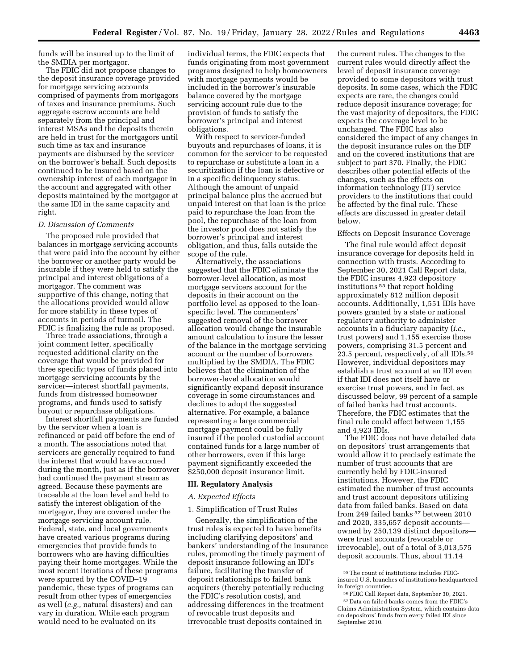funds will be insured up to the limit of the SMDIA per mortgagor.

The FDIC did not propose changes to the deposit insurance coverage provided for mortgage servicing accounts comprised of payments from mortgagors of taxes and insurance premiums. Such aggregate escrow accounts are held separately from the principal and interest MSAs and the deposits therein are held in trust for the mortgagors until such time as tax and insurance payments are disbursed by the servicer on the borrower's behalf. Such deposits continued to be insured based on the ownership interest of each mortgagor in the account and aggregated with other deposits maintained by the mortgagor at the same IDI in the same capacity and right.

#### *D. Discussion of Comments*

The proposed rule provided that balances in mortgage servicing accounts that were paid into the account by either the borrower or another party would be insurable if they were held to satisfy the principal and interest obligations of a mortgagor. The comment was supportive of this change, noting that the allocations provided would allow for more stability in these types of accounts in periods of turmoil. The FDIC is finalizing the rule as proposed.

Three trade associations, through a joint comment letter, specifically requested additional clarity on the coverage that would be provided for three specific types of funds placed into mortgage servicing accounts by the servicer—interest shortfall payments, funds from distressed homeowner programs, and funds used to satisfy buyout or repurchase obligations.

Interest shortfall payments are funded by the servicer when a loan is refinanced or paid off before the end of a month. The associations noted that servicers are generally required to fund the interest that would have accrued during the month, just as if the borrower had continued the payment stream as agreed. Because these payments are traceable at the loan level and held to satisfy the interest obligation of the mortgagor, they are covered under the mortgage servicing account rule. Federal, state, and local governments have created various programs during emergencies that provide funds to borrowers who are having difficulties paying their home mortgages. While the most recent iterations of these programs were spurred by the COVID–19 pandemic, these types of programs can result from other types of emergencies as well (*e.g.,* natural disasters) and can vary in duration. While each program would need to be evaluated on its

individual terms, the FDIC expects that funds originating from most government programs designed to help homeowners with mortgage payments would be included in the borrower's insurable balance covered by the mortgage servicing account rule due to the provision of funds to satisfy the borrower's principal and interest obligations.

With respect to servicer-funded buyouts and repurchases of loans, it is common for the servicer to be requested to repurchase or substitute a loan in a securitization if the loan is defective or in a specific delinquency status. Although the amount of unpaid principal balance plus the accrued but unpaid interest on that loan is the price paid to repurchase the loan from the pool, the repurchase of the loan from the investor pool does not satisfy the borrower's principal and interest obligation, and thus, falls outside the scope of the rule.

Alternatively, the associations suggested that the FDIC eliminate the borrower-level allocation, as most mortgage servicers account for the deposits in their account on the portfolio level as opposed to the loanspecific level. The commenters' suggested removal of the borrower allocation would change the insurable amount calculation to insure the lesser of the balance in the mortgage servicing account or the number of borrowers multiplied by the SMDIA. The FDIC believes that the elimination of the borrower-level allocation would significantly expand deposit insurance coverage in some circumstances and declines to adopt the suggested alternative. For example, a balance representing a large commercial mortgage payment could be fully insured if the pooled custodial account contained funds for a large number of other borrowers, even if this large payment significantly exceeded the \$250,000 deposit insurance limit.

## **III. Regulatory Analysis**

#### *A. Expected Effects*

#### 1. Simplification of Trust Rules

Generally, the simplification of the trust rules is expected to have benefits including clarifying depositors' and bankers' understanding of the insurance rules, promoting the timely payment of deposit insurance following an IDI's failure, facilitating the transfer of deposit relationships to failed bank acquirers (thereby potentially reducing the FDIC's resolution costs), and addressing differences in the treatment of revocable trust deposits and irrevocable trust deposits contained in

the current rules. The changes to the current rules would directly affect the level of deposit insurance coverage provided to some depositors with trust deposits. In some cases, which the FDIC expects are rare, the changes could reduce deposit insurance coverage; for the vast majority of depositors, the FDIC expects the coverage level to be unchanged. The FDIC has also considered the impact of any changes in the deposit insurance rules on the DIF and on the covered institutions that are subject to part 370. Finally, the FDIC describes other potential effects of the changes, such as the effects on information technology (IT) service providers to the institutions that could be affected by the final rule. These effects are discussed in greater detail below.

#### Effects on Deposit Insurance Coverage

The final rule would affect deposit insurance coverage for deposits held in connection with trusts. According to September 30, 2021 Call Report data, the FDIC insures 4,923 depository institutions 55 that report holding approximately 812 million deposit accounts. Additionally, 1,551 IDIs have powers granted by a state or national regulatory authority to administer accounts in a fiduciary capacity (*i.e.,*  trust powers) and 1,155 exercise those powers, comprising 31.5 percent and 23.5 percent, respectively, of all IDIs.56 However, individual depositors may establish a trust account at an IDI even if that IDI does not itself have or exercise trust powers, and in fact, as discussed below, 99 percent of a sample of failed banks had trust accounts. Therefore, the FDIC estimates that the final rule could affect between 1,155 and 4,923 IDIs.

The FDIC does not have detailed data on depositors' trust arrangements that would allow it to precisely estimate the number of trust accounts that are currently held by FDIC-insured institutions. However, the FDIC estimated the number of trust accounts and trust account depositors utilizing data from failed banks. Based on data from 249 failed banks 57 between 2010 and 2020, 335,657 deposit accounts owned by 250,139 distinct depositors were trust accounts (revocable or irrevocable), out of a total of 3,013,575 deposit accounts. Thus, about 11.14

<sup>55</sup>The count of institutions includes FDICinsured U.S. branches of institutions headquartered in foreign countries.

<sup>56</sup>FDIC Call Report data, September 30, 2021. 57 Data on failed banks comes from the FDIC's Claims Administration System, which contains data on depositors' funds from every failed IDI since September 2010.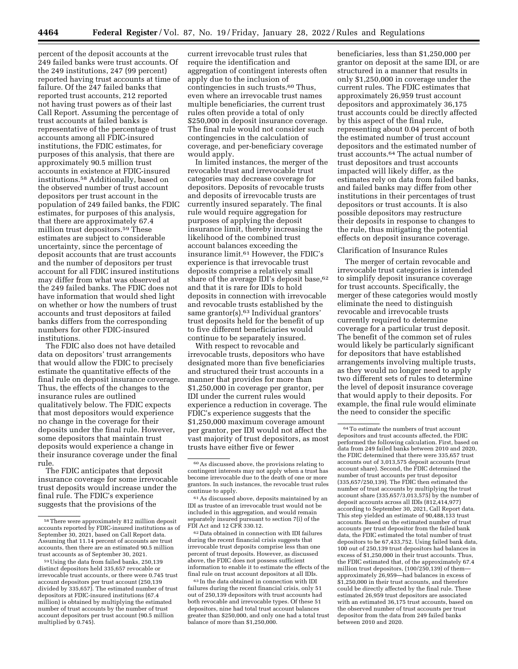percent of the deposit accounts at the 249 failed banks were trust accounts. Of the 249 institutions, 247 (99 percent) reported having trust accounts at time of failure. Of the 247 failed banks that reported trust accounts, 212 reported not having trust powers as of their last Call Report. Assuming the percentage of trust accounts at failed banks is representative of the percentage of trust accounts among all FDIC-insured institutions, the FDIC estimates, for purposes of this analysis, that there are approximately 90.5 million trust accounts in existence at FDIC-insured institutions.58 Additionally, based on the observed number of trust account depositors per trust account in the population of 249 failed banks, the FDIC estimates, for purposes of this analysis, that there are approximately 67.4 million trust depositors.59 These estimates are subject to considerable uncertainty, since the percentage of deposit accounts that are trust accounts and the number of depositors per trust account for all FDIC insured institutions may differ from what was observed at the 249 failed banks. The FDIC does not have information that would shed light on whether or how the numbers of trust accounts and trust depositors at failed banks differs from the corresponding numbers for other FDIC-insured institutions.

The FDIC also does not have detailed data on depositors' trust arrangements that would allow the FDIC to precisely estimate the quantitative effects of the final rule on deposit insurance coverage. Thus, the effects of the changes to the insurance rules are outlined qualitatively below. The FDIC expects that most depositors would experience no change in the coverage for their deposits under the final rule. However, some depositors that maintain trust deposits would experience a change in their insurance coverage under the final rule.

The FDIC anticipates that deposit insurance coverage for some irrevocable trust deposits would increase under the final rule. The FDIC's experience suggests that the provisions of the

current irrevocable trust rules that require the identification and aggregation of contingent interests often apply due to the inclusion of contingencies in such trusts.60 Thus, even where an irrevocable trust names multiple beneficiaries, the current trust rules often provide a total of only \$250,000 in deposit insurance coverage. The final rule would not consider such contingencies in the calculation of coverage, and per-beneficiary coverage would apply.

In limited instances, the merger of the revocable trust and irrevocable trust categories may decrease coverage for depositors. Deposits of revocable trusts and deposits of irrevocable trusts are currently insured separately. The final rule would require aggregation for purposes of applying the deposit insurance limit, thereby increasing the likelihood of the combined trust account balances exceeding the insurance limit.61 However, the FDIC's experience is that irrevocable trust deposits comprise a relatively small share of the average IDI's deposit base,<sup>62</sup> and that it is rare for IDIs to hold deposits in connection with irrevocable and revocable trusts established by the same grantor(s).<sup>63</sup> Individual grantors' trust deposits held for the benefit of up to five different beneficiaries would continue to be separately insured.

With respect to revocable and irrevocable trusts, depositors who have designated more than five beneficiaries and structured their trust accounts in a manner that provides for more than \$1,250,000 in coverage per grantor, per IDI under the current rules would experience a reduction in coverage. The FDIC's experience suggests that the \$1,250,000 maximum coverage amount per grantor, per IDI would not affect the vast majority of trust depositors, as most trusts have either five or fewer

62 Data obtained in connection with IDI failures during the recent financial crisis suggests that irrevocable trust deposits comprise less than one percent of trust deposits. However, as discussed above, the FDIC does not possess sufficient information to enable it to estimate the effects of the final rule on trust account depositors at all IDIs.

 $^{63}\!$  In the data obtained in connection with IDI failures during the recent financial crisis, only 51 out of 250,139 depositors with trust accounts had both revocable and irrevocable types. Of these 51 depositors, nine had total trust account balances greater than \$250,000, and only one had a total trust balance of more than \$1,250,000.

beneficiaries, less than \$1,250,000 per grantor on deposit at the same IDI, or are structured in a manner that results in only \$1,250,000 in coverage under the current rules. The FDIC estimates that approximately 26,959 trust account depositors and approximately 36,175 trust accounts could be directly affected by this aspect of the final rule, representing about 0.04 percent of both the estimated number of trust account depositors and the estimated number of trust accounts.64 The actual number of trust depositors and trust accounts impacted will likely differ, as the estimates rely on data from failed banks, and failed banks may differ from other institutions in their percentages of trust depositors or trust accounts. It is also possible depositors may restructure their deposits in response to changes to the rule, thus mitigating the potential effects on deposit insurance coverage.

## Clarification of Insurance Rules

The merger of certain revocable and irrevocable trust categories is intended to simplify deposit insurance coverage for trust accounts. Specifically, the merger of these categories would mostly eliminate the need to distinguish revocable and irrevocable trusts currently required to determine coverage for a particular trust deposit. The benefit of the common set of rules would likely be particularly significant for depositors that have established arrangements involving multiple trusts, as they would no longer need to apply two different sets of rules to determine the level of deposit insurance coverage that would apply to their deposits. For example, the final rule would eliminate the need to consider the specific

<sup>58</sup>There were approximately 812 million deposit accounts reported by FDIC-insured institutions as of September 30, 2021, based on Call Report data. Assuming that 11.14 percent of accounts are trust accounts, then there are an estimated 90.5 million trust accounts as of September 30, 2021.

<sup>59</sup>Using the data from failed banks, 250,139 distinct depositors held 335,657 revocable or irrevocable trust accounts, or there were 0.745 trust account depositors per trust account (250,139 divided by 335,657). The estimated number of trust depositors at FDIC-insured institutions (67.4 million) is obtained by multiplying the estimated number of trust accounts by the number of trust account depositors per trust account (90.5 million multiplied by 0.745).

<sup>60</sup>As discussed above, the provisions relating to contingent interests may not apply when a trust has become irrevocable due to the death of one or more grantors. In such instances, the revocable trust rules continue to apply.

<sup>61</sup>As discussed above, deposits maintained by an IDI as trustee of an irrevocable trust would not be included in this aggregation, and would remain separately insured pursuant to section 7(i) of the FDI Act and 12 CFR 330.12.

 $^{64}\mathrm{\,To}$  estimate the numbers of trust account depositors and trust accounts affected, the FDIC performed the following calculation. First, based on data from 249 failed banks between 2010 and 2020, the FDIC determined that there were 335,657 trust accounts out of 3,013,575 deposit accounts (trust account share). Second, the FDIC determined the number of trust accounts per trust depositor  $(335,657/250,139)$ . The FDIC then estimated the number of trust accounts by multiplying the trust account share (335,657/3,013,575) by the number of deposit accounts across all IDIs (812,414,977) according to September 30, 2021, Call Report data. This step yielded an estimate of 90,488,133 trust accounts. Based on the estimated number of trust accounts per trust depositor from the failed bank data, the FDIC estimated the total number of trust depositors to be 67,433,752. Using failed bank data, 100 out of 250,139 trust depositors had balances in excess of \$1,250,000 in their trust accounts. Thus, the FDIC estimated that, of the approximately 67.4 million trust depositors,  $(100/250, 139)$  of themapproximately 26,959—had balances in excess of \$1,250,000 in their trust accounts, and therefore could be directly affected by the final rule. These estimated 26,959 trust depositors are associated with an estimated 36,175 trust accounts, based on the observed number of trust accounts per trust depositor from the data from 249 failed banks between 2010 and 2020.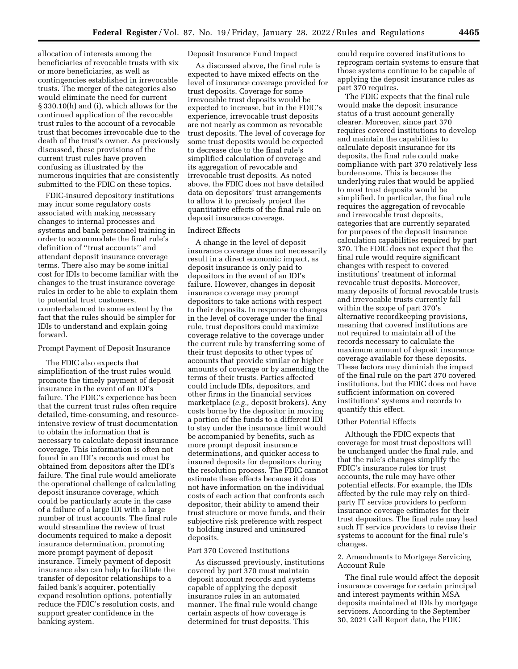allocation of interests among the beneficiaries of revocable trusts with six or more beneficiaries, as well as contingencies established in irrevocable trusts. The merger of the categories also would eliminate the need for current § 330.10(h) and (i), which allows for the continued application of the revocable trust rules to the account of a revocable trust that becomes irrevocable due to the death of the trust's owner. As previously discussed, these provisions of the current trust rules have proven confusing as illustrated by the numerous inquiries that are consistently submitted to the FDIC on these topics.

FDIC-insured depository institutions may incur some regulatory costs associated with making necessary changes to internal processes and systems and bank personnel training in order to accommodate the final rule's definition of ''trust accounts'' and attendant deposit insurance coverage terms. There also may be some initial cost for IDIs to become familiar with the changes to the trust insurance coverage rules in order to be able to explain them to potential trust customers, counterbalanced to some extent by the fact that the rules should be simpler for IDIs to understand and explain going forward.

## Prompt Payment of Deposit Insurance

The FDIC also expects that simplification of the trust rules would promote the timely payment of deposit insurance in the event of an IDI's failure. The FDIC's experience has been that the current trust rules often require detailed, time-consuming, and resourceintensive review of trust documentation to obtain the information that is necessary to calculate deposit insurance coverage. This information is often not found in an IDI's records and must be obtained from depositors after the IDI's failure. The final rule would ameliorate the operational challenge of calculating deposit insurance coverage, which could be particularly acute in the case of a failure of a large IDI with a large number of trust accounts. The final rule would streamline the review of trust documents required to make a deposit insurance determination, promoting more prompt payment of deposit insurance. Timely payment of deposit insurance also can help to facilitate the transfer of depositor relationships to a failed bank's acquirer, potentially expand resolution options, potentially reduce the FDIC's resolution costs, and support greater confidence in the banking system.

## Deposit Insurance Fund Impact

As discussed above, the final rule is expected to have mixed effects on the level of insurance coverage provided for trust deposits. Coverage for some irrevocable trust deposits would be expected to increase, but in the FDIC's experience, irrevocable trust deposits are not nearly as common as revocable trust deposits. The level of coverage for some trust deposits would be expected to decrease due to the final rule's simplified calculation of coverage and its aggregation of revocable and irrevocable trust deposits. As noted above, the FDIC does not have detailed data on depositors' trust arrangements to allow it to precisely project the quantitative effects of the final rule on deposit insurance coverage.

#### Indirect Effects

A change in the level of deposit insurance coverage does not necessarily result in a direct economic impact, as deposit insurance is only paid to depositors in the event of an IDI's failure. However, changes in deposit insurance coverage may prompt depositors to take actions with respect to their deposits. In response to changes in the level of coverage under the final rule, trust depositors could maximize coverage relative to the coverage under the current rule by transferring some of their trust deposits to other types of accounts that provide similar or higher amounts of coverage or by amending the terms of their trusts. Parties affected could include IDIs, depositors, and other firms in the financial services marketplace (*e.g.,* deposit brokers). Any costs borne by the depositor in moving a portion of the funds to a different IDI to stay under the insurance limit would be accompanied by benefits, such as more prompt deposit insurance determinations, and quicker access to insured deposits for depositors during the resolution process. The FDIC cannot estimate these effects because it does not have information on the individual costs of each action that confronts each depositor, their ability to amend their trust structure or move funds, and their subjective risk preference with respect to holding insured and uninsured deposits.

#### Part 370 Covered Institutions

As discussed previously, institutions covered by part 370 must maintain deposit account records and systems capable of applying the deposit insurance rules in an automated manner. The final rule would change certain aspects of how coverage is determined for trust deposits. This

could require covered institutions to reprogram certain systems to ensure that those systems continue to be capable of applying the deposit insurance rules as part 370 requires.

The FDIC expects that the final rule would make the deposit insurance status of a trust account generally clearer. Moreover, since part 370 requires covered institutions to develop and maintain the capabilities to calculate deposit insurance for its deposits, the final rule could make compliance with part 370 relatively less burdensome. This is because the underlying rules that would be applied to most trust deposits would be simplified. In particular, the final rule requires the aggregation of revocable and irrevocable trust deposits, categories that are currently separated for purposes of the deposit insurance calculation capabilities required by part 370. The FDIC does not expect that the final rule would require significant changes with respect to covered institutions' treatment of informal revocable trust deposits. Moreover, many deposits of formal revocable trusts and irrevocable trusts currently fall within the scope of part 370's alternative recordkeeping provisions, meaning that covered institutions are not required to maintain all of the records necessary to calculate the maximum amount of deposit insurance coverage available for these deposits. These factors may diminish the impact of the final rule on the part 370 covered institutions, but the FDIC does not have sufficient information on covered institutions' systems and records to quantify this effect.

### Other Potential Effects

Although the FDIC expects that coverage for most trust depositors will be unchanged under the final rule, and that the rule's changes simplify the FDIC's insurance rules for trust accounts, the rule may have other potential effects. For example, the IDIs affected by the rule may rely on thirdparty IT service providers to perform insurance coverage estimates for their trust depositors. The final rule may lead such IT service providers to revise their systems to account for the final rule's changes.

## 2. Amendments to Mortgage Servicing Account Rule

The final rule would affect the deposit insurance coverage for certain principal and interest payments within MSA deposits maintained at IDIs by mortgage servicers. According to the September 30, 2021 Call Report data, the FDIC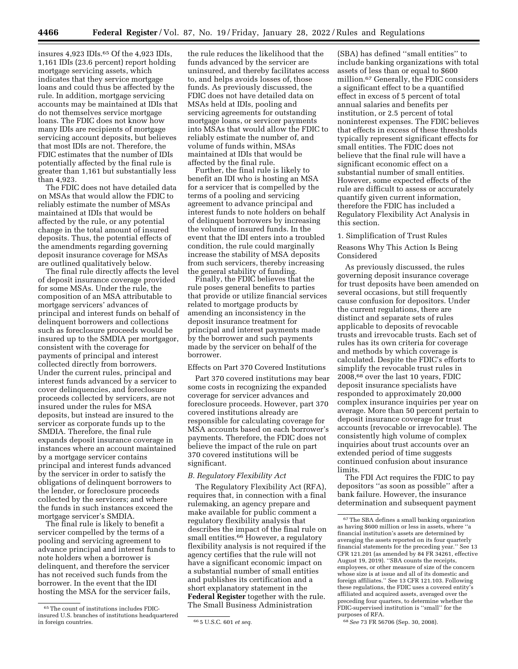insures 4,923 IDIs.65 Of the 4,923 IDIs, 1,161 IDIs (23.6 percent) report holding mortgage servicing assets, which indicates that they service mortgage loans and could thus be affected by the rule. In addition, mortgage servicing accounts may be maintained at IDIs that do not themselves service mortgage loans. The FDIC does not know how many IDIs are recipients of mortgage servicing account deposits, but believes that most IDIs are not. Therefore, the FDIC estimates that the number of IDIs potentially affected by the final rule is greater than 1,161 but substantially less than 4,923.

The FDIC does not have detailed data on MSAs that would allow the FDIC to reliably estimate the number of MSAs maintained at IDIs that would be affected by the rule, or any potential change in the total amount of insured deposits. Thus, the potential effects of the amendments regarding governing deposit insurance coverage for MSAs are outlined qualitatively below.

The final rule directly affects the level of deposit insurance coverage provided for some MSAs. Under the rule, the composition of an MSA attributable to mortgage servicers' advances of principal and interest funds on behalf of delinquent borrowers and collections such as foreclosure proceeds would be insured up to the SMDIA per mortgagor, consistent with the coverage for payments of principal and interest collected directly from borrowers. Under the current rules, principal and interest funds advanced by a servicer to cover delinquencies, and foreclosure proceeds collected by servicers, are not insured under the rules for MSA deposits, but instead are insured to the servicer as corporate funds up to the SMDIA. Therefore, the final rule expands deposit insurance coverage in instances where an account maintained by a mortgage servicer contains principal and interest funds advanced by the servicer in order to satisfy the obligations of delinquent borrowers to the lender, or foreclosure proceeds collected by the servicers; and where the funds in such instances exceed the mortgage servicer's SMDIA.

The final rule is likely to benefit a servicer compelled by the terms of a pooling and servicing agreement to advance principal and interest funds to note holders when a borrower is delinquent, and therefore the servicer has not received such funds from the borrower. In the event that the IDI hosting the MSA for the servicer fails,

the rule reduces the likelihood that the funds advanced by the servicer are uninsured, and thereby facilitates access to, and helps avoids losses of, those funds. As previously discussed, the FDIC does not have detailed data on MSAs held at IDIs, pooling and servicing agreements for outstanding mortgage loans, or servicer payments into MSAs that would allow the FDIC to reliably estimate the number of, and volume of funds within, MSAs maintained at IDIs that would be affected by the final rule.

Further, the final rule is likely to benefit an IDI who is hosting an MSA for a servicer that is compelled by the terms of a pooling and servicing agreement to advance principal and interest funds to note holders on behalf of delinquent borrowers by increasing the volume of insured funds. In the event that the IDI enters into a troubled condition, the rule could marginally increase the stability of MSA deposits from such servicers, thereby increasing the general stability of funding.

Finally, the FDIC believes that the rule poses general benefits to parties that provide or utilize financial services related to mortgage products by amending an inconsistency in the deposit insurance treatment for principal and interest payments made by the borrower and such payments made by the servicer on behalf of the borrower.

Effects on Part 370 Covered Institutions

Part 370 covered institutions may bear some costs in recognizing the expanded coverage for servicer advances and foreclosure proceeds. However, part 370 covered institutions already are responsible for calculating coverage for MSA accounts based on each borrower's payments. Therefore, the FDIC does not believe the impact of the rule on part 370 covered institutions will be significant.

## *B. Regulatory Flexibility Act*

The Regulatory Flexibility Act (RFA), requires that, in connection with a final rulemaking, an agency prepare and make available for public comment a regulatory flexibility analysis that describes the impact of the final rule on small entities.<sup>66</sup> However, a regulatory flexibility analysis is not required if the agency certifies that the rule will not have a significant economic impact on a substantial number of small entities and publishes its certification and a short explanatory statement in the **Federal Register** together with the rule. The Small Business Administration

(SBA) has defined ''small entities'' to include banking organizations with total assets of less than or equal to \$600 million.67 Generally, the FDIC considers a significant effect to be a quantified effect in excess of 5 percent of total annual salaries and benefits per institution, or 2.5 percent of total noninterest expenses. The FDIC believes that effects in excess of these thresholds typically represent significant effects for small entities. The FDIC does not believe that the final rule will have a significant economic effect on a substantial number of small entities. However, some expected effects of the rule are difficult to assess or accurately quantify given current information, therefore the FDIC has included a Regulatory Flexibility Act Analysis in this section.

#### 1. Simplification of Trust Rules

Reasons Why This Action Is Being Considered

As previously discussed, the rules governing deposit insurance coverage for trust deposits have been amended on several occasions, but still frequently cause confusion for depositors. Under the current regulations, there are distinct and separate sets of rules applicable to deposits of revocable trusts and irrevocable trusts. Each set of rules has its own criteria for coverage and methods by which coverage is calculated. Despite the FDIC's efforts to simplify the revocable trust rules in 2008,68 over the last 10 years, FDIC deposit insurance specialists have responded to approximately 20,000 complex insurance inquiries per year on average. More than 50 percent pertain to deposit insurance coverage for trust accounts (revocable or irrevocable). The consistently high volume of complex inquiries about trust accounts over an extended period of time suggests continued confusion about insurance limits.

The FDI Act requires the FDIC to pay depositors ''as soon as possible'' after a bank failure. However, the insurance determination and subsequent payment

68*See* 73 FR 56706 (Sep. 30, 2008).

<sup>65</sup>The count of institutions includes FDICinsured U.S. branches of institutions headquartered

in foreign countries. 66 5 U.S.C. 601 *et seq.* 

<sup>67</sup>The SBA defines a small banking organization as having \$600 million or less in assets, where ''a financial institution's assets are determined by averaging the assets reported on its four quarterly financial statements for the preceding year.'' See 13 CFR 121.201 (as amended by 84 FR  $34261$ , effective August 19, 2019). ''SBA counts the receipts, employees, or other measure of size of the concern whose size is at issue and all of its domestic and foreign affiliates.'' See 13 CFR 121.103. Following these regulations, the FDIC uses a covered entity's affiliated and acquired assets, averaged over the preceding four quarters, to determine whether the FDIC-supervised institution is ''small'' for the purposes of RFA.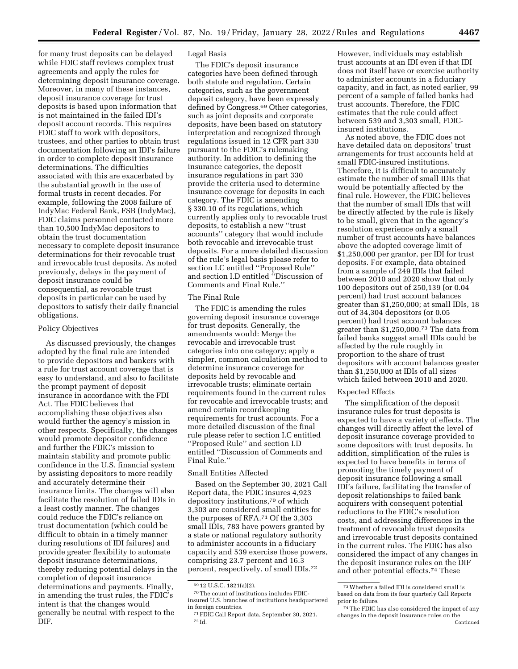for many trust deposits can be delayed while FDIC staff reviews complex trust agreements and apply the rules for determining deposit insurance coverage. Moreover, in many of these instances, deposit insurance coverage for trust deposits is based upon information that is not maintained in the failed IDI's deposit account records. This requires FDIC staff to work with depositors, trustees, and other parties to obtain trust documentation following an IDI's failure in order to complete deposit insurance determinations. The difficulties associated with this are exacerbated by the substantial growth in the use of formal trusts in recent decades. For example, following the 2008 failure of IndyMac Federal Bank, FSB (IndyMac), FDIC claims personnel contacted more than 10,500 IndyMac depositors to obtain the trust documentation necessary to complete deposit insurance determinations for their revocable trust and irrevocable trust deposits. As noted previously, delays in the payment of deposit insurance could be consequential, as revocable trust deposits in particular can be used by depositors to satisfy their daily financial obligations.

# Policy Objectives

As discussed previously, the changes adopted by the final rule are intended to provide depositors and bankers with a rule for trust account coverage that is easy to understand, and also to facilitate the prompt payment of deposit insurance in accordance with the FDI Act. The FDIC believes that accomplishing these objectives also would further the agency's mission in other respects. Specifically, the changes would promote depositor confidence and further the FDIC's mission to maintain stability and promote public confidence in the U.S. financial system by assisting depositors to more readily and accurately determine their insurance limits. The changes will also facilitate the resolution of failed IDIs in a least costly manner. The changes could reduce the FDIC's reliance on trust documentation (which could be difficult to obtain in a timely manner during resolutions of IDI failures) and provide greater flexibility to automate deposit insurance determinations, thereby reducing potential delays in the completion of deposit insurance determinations and payments. Finally, in amending the trust rules, the FDIC's intent is that the changes would generally be neutral with respect to the DIF.

# Legal Basis

The FDIC's deposit insurance categories have been defined through both statute and regulation. Certain categories, such as the government deposit category, have been expressly defined by Congress.69 Other categories, such as joint deposits and corporate deposits, have been based on statutory interpretation and recognized through regulations issued in 12 CFR part 330 pursuant to the FDIC's rulemaking authority. In addition to defining the insurance categories, the deposit insurance regulations in part 330 provide the criteria used to determine insurance coverage for deposits in each category. The FDIC is amending § 330.10 of its regulations, which currently applies only to revocable trust deposits, to establish a new ''trust accounts'' category that would include both revocable and irrevocable trust deposits. For a more detailed discussion of the rule's legal basis please refer to section I.C entitled ''Proposed Rule'' and section I.D entitled ''Discussion of Comments and Final Rule.''

# The Final Rule

The FDIC is amending the rules governing deposit insurance coverage for trust deposits. Generally, the amendments would: Merge the revocable and irrevocable trust categories into one category; apply a simpler, common calculation method to determine insurance coverage for deposits held by revocable and irrevocable trusts; eliminate certain requirements found in the current rules for revocable and irrevocable trusts; and amend certain recordkeeping requirements for trust accounts. For a more detailed discussion of the final rule please refer to section I.C entitled ''Proposed Rule'' and section I.D entitled ''Discussion of Comments and Final Rule.''

# Small Entities Affected

Based on the September 30, 2021 Call Report data, the FDIC insures 4,923 depository institutions,70 of which 3,303 are considered small entities for the purposes of RFA.71 Of the 3,303 small IDIs, 783 have powers granted by a state or national regulatory authority to administer accounts in a fiduciary capacity and 539 exercise those powers, comprising 23.7 percent and 16.3 percent, respectively, of small IDIs.72

However, individuals may establish trust accounts at an IDI even if that IDI does not itself have or exercise authority to administer accounts in a fiduciary capacity, and in fact, as noted earlier, 99 percent of a sample of failed banks had trust accounts. Therefore, the FDIC estimates that the rule could affect between 539 and 3,303 small, FDICinsured institutions.

As noted above, the FDIC does not have detailed data on depositors' trust arrangements for trust accounts held at small FDIC-insured institutions. Therefore, it is difficult to accurately estimate the number of small IDIs that would be potentially affected by the final rule. However, the FDIC believes that the number of small IDIs that will be directly affected by the rule is likely to be small, given that in the agency's resolution experience only a small number of trust accounts have balances above the adopted coverage limit of \$1,250,000 per grantor, per IDI for trust deposits. For example, data obtained from a sample of 249 IDIs that failed between 2010 and 2020 show that only 100 depositors out of 250,139 (or 0.04 percent) had trust account balances greater than \$1,250,000; at small IDIs, 18 out of 34,304 depositors (or 0.05 percent) had trust account balances greater than \$1,250,000.73 The data from failed banks suggest small IDIs could be affected by the rule roughly in proportion to the share of trust depositors with account balances greater than \$1,250,000 at IDIs of all sizes which failed between 2010 and 2020.

## Expected Effects

The simplification of the deposit insurance rules for trust deposits is expected to have a variety of effects. The changes will directly affect the level of deposit insurance coverage provided to some depositors with trust deposits. In addition, simplification of the rules is expected to have benefits in terms of promoting the timely payment of deposit insurance following a small IDI's failure, facilitating the transfer of deposit relationships to failed bank acquirers with consequent potential reductions to the FDIC's resolution costs, and addressing differences in the treatment of revocable trust deposits and irrevocable trust deposits contained in the current rules. The FDIC has also considered the impact of any changes in the deposit insurance rules on the DIF and other potential effects.74 These

<sup>69</sup> 12 U.S.C. 1821(a)(2).

<sup>70</sup>The count of institutions includes FDICinsured U.S. branches of institutions headquartered in foreign countries.

<sup>71</sup>FDIC Call Report data, September 30, 2021. 72 Id.

 $^{\rm 73}$  Whether a failed IDI is considered small is based on data from its four quarterly Call Reports prior to failure.

<sup>74</sup>The FDIC has also considered the impact of any changes in the deposit insurance rules on the Continued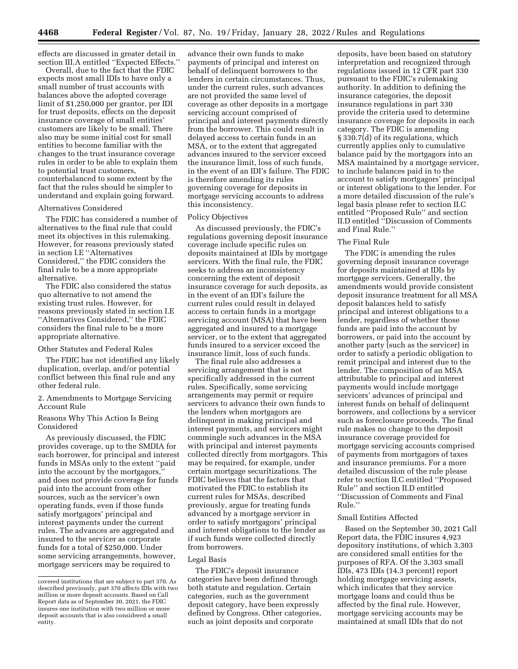effects are discussed in greater detail in section III.A entitled ''Expected Effects.''

Overall, due to the fact that the FDIC expects most small IDIs to have only a small number of trust accounts with balances above the adopted coverage limit of \$1,250,000 per grantor, per IDI for trust deposits, effects on the deposit insurance coverage of small entities' customers are likely to be small. There also may be some initial cost for small entities to become familiar with the changes to the trust insurance coverage rules in order to be able to explain them to potential trust customers, counterbalanced to some extent by the fact that the rules should be simpler to understand and explain going forward.

## Alternatives Considered

The FDIC has considered a number of alternatives to the final rule that could meet its objectives in this rulemaking. However, for reasons previously stated in section I.E ''Alternatives Considered,'' the FDIC considers the final rule to be a more appropriate alternative.

The FDIC also considered the status quo alternative to not amend the existing trust rules. However, for reasons previously stated in section I.E ''Alternatives Considered,'' the FDIC considers the final rule to be a more appropriate alternative.

#### Other Statutes and Federal Rules

The FDIC has not identified any likely duplication, overlap, and/or potential conflict between this final rule and any other federal rule.

2. Amendments to Mortgage Servicing Account Rule

# Reasons Why This Action Is Being Considered

As previously discussed, the FDIC provides coverage, up to the SMDIA for each borrower, for principal and interest funds in MSAs only to the extent ''paid into the account by the mortgagors,'' and does not provide coverage for funds paid into the account from other sources, such as the servicer's own operating funds, even if those funds satisfy mortgagors' principal and interest payments under the current rules. The advances are aggregated and insured to the servicer as corporate funds for a total of \$250,000. Under some servicing arrangements, however, mortgage servicers may be required to

advance their own funds to make payments of principal and interest on behalf of delinquent borrowers to the lenders in certain circumstances. Thus, under the current rules, such advances are not provided the same level of coverage as other deposits in a mortgage servicing account comprised of principal and interest payments directly from the borrower. This could result in delayed access to certain funds in an MSA, or to the extent that aggregated advances insured to the servicer exceed the insurance limit, loss of such funds, in the event of an IDI's failure. The FDIC is therefore amending its rules governing coverage for deposits in mortgage servicing accounts to address this inconsistency.

#### Policy Objectives

As discussed previously, the FDIC's regulations governing deposit insurance coverage include specific rules on deposits maintained at IDIs by mortgage servicers. With the final rule, the FDIC seeks to address an inconsistency concerning the extent of deposit insurance coverage for such deposits, as in the event of an IDI's failure the current rules could result in delayed access to certain funds in a mortgage servicing account (MSA) that have been aggregated and insured to a mortgage servicer, or to the extent that aggregated funds insured to a servicer exceed the insurance limit, loss of such funds.

The final rule also addresses a servicing arrangement that is not specifically addressed in the current rules. Specifically, some servicing arrangements may permit or require servicers to advance their own funds to the lenders when mortgagors are delinquent in making principal and interest payments, and servicers might commingle such advances in the MSA with principal and interest payments collected directly from mortgagors. This may be required, for example, under certain mortgage securitizations. The FDIC believes that the factors that motivated the FDIC to establish its current rules for MSAs, described previously, argue for treating funds advanced by a mortgage servicer in order to satisfy mortgagors' principal and interest obligations to the lender as if such funds were collected directly from borrowers.

#### Legal Basis

The FDIC's deposit insurance categories have been defined through both statute and regulation. Certain categories, such as the government deposit category, have been expressly defined by Congress. Other categories, such as joint deposits and corporate

deposits, have been based on statutory interpretation and recognized through regulations issued in 12 CFR part 330 pursuant to the FDIC's rulemaking authority. In addition to defining the insurance categories, the deposit insurance regulations in part 330 provide the criteria used to determine insurance coverage for deposits in each category. The FDIC is amending § 330.7(d) of its regulations, which currently applies only to cumulative balance paid by the mortgagors into an MSA maintained by a mortgage servicer, to include balances paid in to the account to satisfy mortgagors' principal or interest obligations to the lender. For a more detailed discussion of the rule's legal basis please refer to section II.C entitled ''Proposed Rule'' and section II.D entitled ''Discussion of Comments and Final Rule.''

#### The Final Rule

The FDIC is amending the rules governing deposit insurance coverage for deposits maintained at IDIs by mortgage servicers. Generally, the amendments would provide consistent deposit insurance treatment for all MSA deposit balances held to satisfy principal and interest obligations to a lender, regardless of whether those funds are paid into the account by borrowers, or paid into the account by another party (such as the servicer) in order to satisfy a periodic obligation to remit principal and interest due to the lender. The composition of an MSA attributable to principal and interest payments would include mortgage servicers' advances of principal and interest funds on behalf of delinquent borrowers, and collections by a servicer such as foreclosure proceeds. The final rule makes no change to the deposit insurance coverage provided for mortgage servicing accounts comprised of payments from mortgagors of taxes and insurance premiums. For a more detailed discussion of the rule please refer to section II.C entitled ''Proposed Rule'' and section II.D entitled ''Discussion of Comments and Final Rule.''

#### Small Entities Affected

Based on the September 30, 2021 Call Report data, the FDIC insures 4,923 depository institutions, of which 3,303 are considered small entities for the purposes of RFA. Of the 3,303 small IDIs, 473 IDIs (14.3 percent) report holding mortgage servicing assets, which indicates that they service mortgage loans and could thus be affected by the final rule. However, mortgage servicing accounts may be maintained at small IDIs that do not

covered institutions that are subject to part 370. As described previously, part 370 affects IDIs with two million or more deposit accounts. Based on Call Report data as of September 30, 2021, the FDIC insures one institution with two million or more deposit accounts that is also considered a small entity.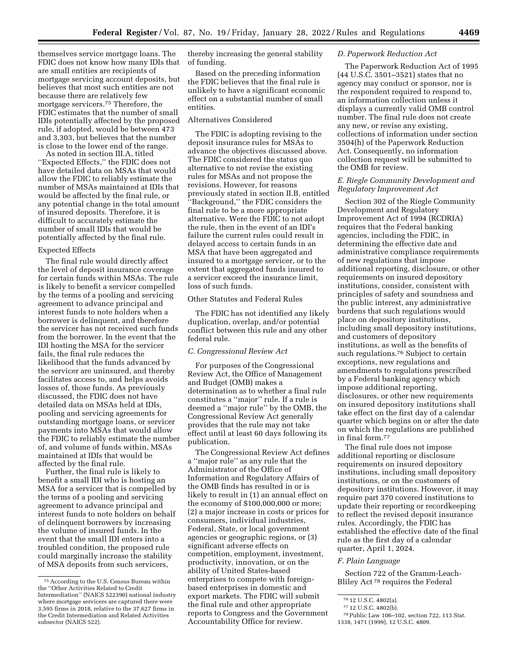themselves service mortgage loans. The FDIC does not know how many IDIs that are small entities are recipients of mortgage servicing account deposits, but believes that most such entities are not because there are relatively few mortgage servicers.75 Therefore, the FDIC estimates that the number of small IDIs potentially affected by the proposed rule, if adopted, would be between 473 and 3,303, but believes that the number is close to the lower end of the range.

As noted in section III.A, titled ''Expected Effects,'' the FDIC does not have detailed data on MSAs that would allow the FDIC to reliably estimate the number of MSAs maintained at IDIs that would be affected by the final rule, or any potential change in the total amount of insured deposits. Therefore, it is difficult to accurately estimate the number of small IDIs that would be potentially affected by the final rule.

## Expected Effects

The final rule would directly affect the level of deposit insurance coverage for certain funds within MSAs. The rule is likely to benefit a servicer compelled by the terms of a pooling and servicing agreement to advance principal and interest funds to note holders when a borrower is delinquent, and therefore the servicer has not received such funds from the borrower. In the event that the IDI hosting the MSA for the servicer fails, the final rule reduces the likelihood that the funds advanced by the servicer are uninsured, and thereby facilitates access to, and helps avoids losses of, those funds. As previously discussed, the FDIC does not have detailed data on MSAs held at IDIs, pooling and servicing agreements for outstanding mortgage loans, or servicer payments into MSAs that would allow the FDIC to reliably estimate the number of, and volume of funds within, MSAs maintained at IDIs that would be affected by the final rule.

Further, the final rule is likely to benefit a small IDI who is hosting an MSA for a servicer that is compelled by the terms of a pooling and servicing agreement to advance principal and interest funds to note holders on behalf of delinquent borrowers by increasing the volume of insured funds. In the event that the small IDI enters into a troubled condition, the proposed rule could marginally increase the stability of MSA deposits from such servicers,

thereby increasing the general stability of funding.

Based on the preceding information the FDIC believes that the final rule is unlikely to have a significant economic effect on a substantial number of small entities.

## Alternatives Considered

The FDIC is adopting revising to the deposit insurance rules for MSAs to advance the objectives discussed above. The FDIC considered the status quo alternative to not revise the existing rules for MSAs and not propose the revisions. However, for reasons previously stated in section II.B, entitled ''Background,'' the FDIC considers the final rule to be a more appropriate alternative. Were the FDIC to not adopt the rule, then in the event of an IDI's failure the current rules could result in delayed access to certain funds in an MSA that have been aggregated and insured to a mortgage servicer, or to the extent that aggregated funds insured to a servicer exceed the insurance limit, loss of such funds.

## Other Statutes and Federal Rules

The FDIC has not identified any likely duplication, overlap, and/or potential conflict between this rule and any other federal rule.

## *C. Congressional Review Act*

For purposes of the Congressional Review Act, the Office of Management and Budget (OMB) makes a determination as to whether a final rule constitutes a ''major'' rule. If a rule is deemed a ''major rule'' by the OMB, the Congressional Review Act generally provides that the rule may not take effect until at least 60 days following its publication.

The Congressional Review Act defines a ''major rule'' as any rule that the Administrator of the Office of Information and Regulatory Affairs of the OMB finds has resulted in or is likely to result in (1) an annual effect on the economy of \$100,000,000 or more; (2) a major increase in costs or prices for consumers, individual industries, Federal, State, or local government agencies or geographic regions, or (3) significant adverse effects on competition, employment, investment, productivity, innovation, or on the ability of United States-based enterprises to compete with foreignbased enterprises in domestic and export markets. The FDIC will submit the final rule and other appropriate reports to Congress and the Government Accountability Office for review.

## *D. Paperwork Reduction Act*

The Paperwork Reduction Act of 1995 (44 U.S.C. 3501–3521) states that no agency may conduct or sponsor, nor is the respondent required to respond to, an information collection unless it displays a currently valid OMB control number. The final rule does not create any new, or revise any existing, collections of information under section 3504(h) of the Paperwork Reduction Act. Consequently, no information collection request will be submitted to the OMB for review.

# *E. Riegle Community Development and Regulatory Improvement Act*

Section 302 of the Riegle Community Development and Regulatory Improvement Act of 1994 (RCDRIA) requires that the Federal banking agencies, including the FDIC, in determining the effective date and administrative compliance requirements of new regulations that impose additional reporting, disclosure, or other requirements on insured depository institutions, consider, consistent with principles of safety and soundness and the public interest, any administrative burdens that such regulations would place on depository institutions, including small depository institutions, and customers of depository institutions, as well as the benefits of such regulations.<sup>76</sup> Subject to certain exceptions, new regulations and amendments to regulations prescribed by a Federal banking agency which impose additional reporting, disclosures, or other new requirements on insured depository institutions shall take effect on the first day of a calendar quarter which begins on or after the date on which the regulations are published in final form.77

The final rule does not impose additional reporting or disclosure requirements on insured depository institutions, including small depository institutions, or on the customers of depository institutions. However, it may require part 370 covered institutions to update their reporting or recordkeeping to reflect the revised deposit insurance rules. Accordingly, the FDIC has established the effective date of the final rule as the first day of a calendar quarter, April 1, 2024.

## *F. Plain Language*

Section 722 of the Gramm-Leach-Bliley Act 78 requires the Federal

<sup>75</sup>According to the U.S. Census Bureau within the ''Other Activities Related to Credit Intermediation'' (NAICS 522390) national industry where mortgage servicers are captured there were 3,595 firms in 2018, relative to the 37,627 firms in the Credit Intermediation and Related Activities subsector (NAICS 522).

<sup>76</sup> 12 U.S.C. 4802(a).

<sup>77</sup> 12 U.S.C. 4802(b).

<sup>78</sup>Public Law 106–102, section 722, 113 Stat. 1338, 1471 (1999), 12 U.S.C. 4809.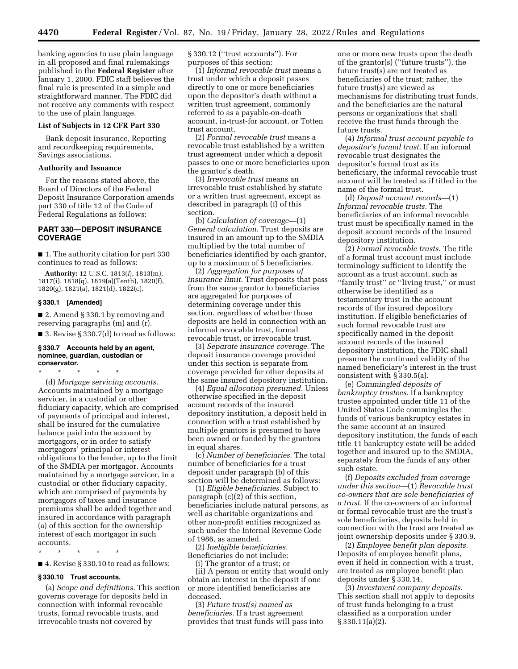banking agencies to use plain language in all proposed and final rulemakings published in the **Federal Register** after January 1, 2000. FDIC staff believes the final rule is presented in a simple and straightforward manner. The FDIC did not receive any comments with respect to the use of plain language.

#### **List of Subjects in 12 CFR Part 330**

Bank deposit insurance, Reporting and recordkeeping requirements, Savings associations.

## **Authority and Issuance**

For the reasons stated above, the Board of Directors of the Federal Deposit Insurance Corporation amends part 330 of title 12 of the Code of Federal Regulations as follows:

# **PART 330—DEPOSIT INSURANCE COVERAGE**

■ 1. The authority citation for part 330 continues to read as follows:

**Authority:** 12 U.S.C. 1813(*l*), 1813(m), 1817(i), 1818(q), 1819(a)(Tenth), 1820(f), 1820(g), 1821(a), 1821(d), 1822(c).

#### **§ 330.1 [Amended]**

■ 2. Amend § 330.1 by removing and reserving paragraphs (m) and (r).

■ 3. Revise § 330.7(d) to read as follows:

#### **§ 330.7 Accounts held by an agent, nominee, guardian, custodian or conservator.**

\* \* \* \* \* (d) *Mortgage servicing accounts.*  Accounts maintained by a mortgage servicer, in a custodial or other fiduciary capacity, which are comprised of payments of principal and interest, shall be insured for the cumulative balance paid into the account by mortgagors, or in order to satisfy mortgagors' principal or interest obligations to the lender, up to the limit of the SMDIA per mortgagor. Accounts maintained by a mortgage servicer, in a custodial or other fiduciary capacity, which are comprised of payments by mortgagors of taxes and insurance premiums shall be added together and insured in accordance with paragraph (a) of this section for the ownership interest of each mortgagor in such accounts.

\* \* \* \* \*

■ 4. Revise § 330.10 to read as follows:

#### **§ 330.10 Trust accounts.**

(a) *Scope and definitions.* This section governs coverage for deposits held in connection with informal revocable trusts, formal revocable trusts, and irrevocable trusts not covered by

§ 330.12 (''trust accounts''). For purposes of this section:

(1) *Informal revocable trust* means a trust under which a deposit passes directly to one or more beneficiaries upon the depositor's death without a written trust agreement, commonly referred to as a payable-on-death account, in-trust-for account, or Totten trust account.

(2) *Formal revocable trust* means a revocable trust established by a written trust agreement under which a deposit passes to one or more beneficiaries upon the grantor's death.

(3) *Irrevocable trust* means an irrevocable trust established by statute or a written trust agreement, except as described in paragraph (f) of this section.

(b) *Calculation of coverage—*(1) *General calculation.* Trust deposits are insured in an amount up to the SMDIA multiplied by the total number of beneficiaries identified by each grantor, up to a maximum of 5 beneficiaries.

(2) *Aggregation for purposes of insurance limit.* Trust deposits that pass from the same grantor to beneficiaries are aggregated for purposes of determining coverage under this section, regardless of whether those deposits are held in connection with an informal revocable trust, formal revocable trust, or irrevocable trust.

(3) *Separate insurance coverage.* The deposit insurance coverage provided under this section is separate from coverage provided for other deposits at the same insured depository institution.

(4) *Equal allocation presumed.* Unless otherwise specified in the deposit account records of the insured depository institution, a deposit held in connection with a trust established by multiple grantors is presumed to have been owned or funded by the grantors in equal shares.

(c) *Number of beneficiaries.* The total number of beneficiaries for a trust deposit under paragraph (b) of this section will be determined as follows:

(1) *Eligible beneficiaries.* Subject to paragraph (c)(2) of this section, beneficiaries include natural persons, as well as charitable organizations and other non-profit entities recognized as such under the Internal Revenue Code of 1986, as amended.

(2) *Ineligible beneficiaries.*  Beneficiaries do not include:

(i) The grantor of a trust; or

(ii) A person or entity that would only obtain an interest in the deposit if one or more identified beneficiaries are deceased.

(3) *Future trust(s) named as beneficiaries.* If a trust agreement provides that trust funds will pass into

one or more new trusts upon the death of the grantor(s) (''future trusts''), the future trust(s) are not treated as beneficiaries of the trust; rather, the future trust(s) are viewed as mechanisms for distributing trust funds, and the beneficiaries are the natural persons or organizations that shall receive the trust funds through the future trusts.

(4) *Informal trust account payable to depositor's formal trust.* If an informal revocable trust designates the depositor's formal trust as its beneficiary, the informal revocable trust account will be treated as if titled in the name of the formal trust.

(d) *Deposit account records—*(1) *Informal revocable trusts.* The beneficiaries of an informal revocable trust must be specifically named in the deposit account records of the insured depository institution.

(2) *Formal revocable trusts.* The title of a formal trust account must include terminology sufficient to identify the account as a trust account, such as ''family trust'' or ''living trust,'' or must otherwise be identified as a testamentary trust in the account records of the insured depository institution. If eligible beneficiaries of such formal revocable trust are specifically named in the deposit account records of the insured depository institution, the FDIC shall presume the continued validity of the named beneficiary's interest in the trust consistent with § 330.5(a).

(e) *Commingled deposits of bankruptcy trustees.* If a bankruptcy trustee appointed under title 11 of the United States Code commingles the funds of various bankruptcy estates in the same account at an insured depository institution, the funds of each title 11 bankruptcy estate will be added together and insured up to the SMDIA, separately from the funds of any other such estate.

(f) *Deposits excluded from coverage under this section—*(1) *Revocable trust co-owners that are sole beneficiaries of a trust.* If the co-owners of an informal or formal revocable trust are the trust's sole beneficiaries, deposits held in connection with the trust are treated as joint ownership deposits under § 330.9.

(2) *Employee benefit plan deposits.*  Deposits of employee benefit plans, even if held in connection with a trust, are treated as employee benefit plan deposits under § 330.14.

(3) *Investment company deposits.*  This section shall not apply to deposits of trust funds belonging to a trust classified as a corporation under § 330.11(a)(2).